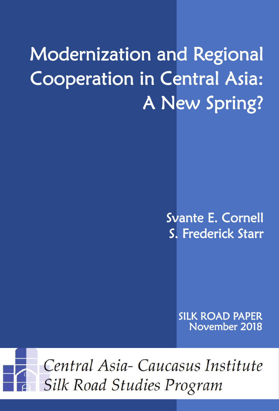# Modernization and Regional Cooperation in Central Asia: A New Spring?

Svante E. Cornell S. Frederick Starr

> SILK ROAD PAPER November 2018

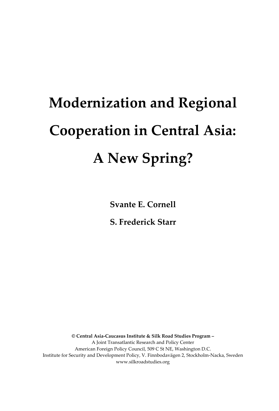# **Modernization and Regional Cooperation in Central Asia: A New Spring?**

**Svante E. Cornell** 

**S. Frederick Starr**

**© Central Asia-Caucasus Institute & Silk Road Studies Program –** A Joint Transatlantic Research and Policy Center American Foreign Policy Council, 509 C St NE, Washington D.C. Institute for Security and Development Policy, V. Finnbodavägen 2, Stockholm-Nacka, Sweden www.silkroadstudies.org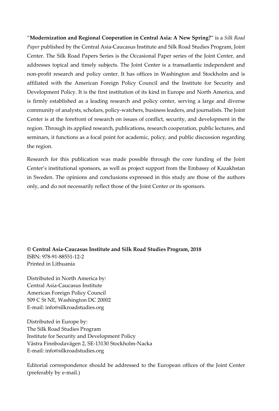"**Modernization and Regional Cooperation in Central Asia: A New Spring?**" is a *Silk Road Paper* published by the Central Asia-Caucasus Institute and Silk Road Studies Program, Joint Center. The Silk Road Papers Series is the Occasional Paper series of the Joint Center, and addresses topical and timely subjects. The Joint Center is a transatlantic independent and non-profit research and policy center. It has offices in Washington and Stockholm and is affiliated with the American Foreign Policy Council and the Institute for Security and Development Policy. It is the first institution of its kind in Europe and North America, and is firmly established as a leading research and policy center, serving a large and diverse community of analysts, scholars, policy-watchers, business leaders, and journalists. The Joint Center is at the forefront of research on issues of conflict, security, and development in the region. Through its applied research, publications, research cooperation, public lectures, and seminars, it functions as a focal point for academic, policy, and public discussion regarding the region.

Research for this publication was made possible through the core funding of the Joint Center's institutional sponsors, as well as project support from the Embassy of Kazakhstan in Sweden. The opinions and conclusions expressed in this study are those of the authors only, and do not necessarily reflect those of the Joint Center or its sponsors.

**© Central Asia-Caucasus Institute and Silk Road Studies Program, 2018** ISBN: 978-91-88551-12-2 Printed in Lithuania

Distributed in North America by: Central Asia-Caucasus Institute American Foreign Policy Council 509 C St NE, Washington DC 20002 E-mail: info@silkroadstudies.org

Distributed in Europe by: The Silk Road Studies Program Institute for Security and Development Policy Västra Finnbodavägen 2, SE-13130 Stockholm-Nacka E-mail: info@silkroadstudies.org

Editorial correspondence should be addressed to the European offices of the Joint Center (preferably by e-mail.)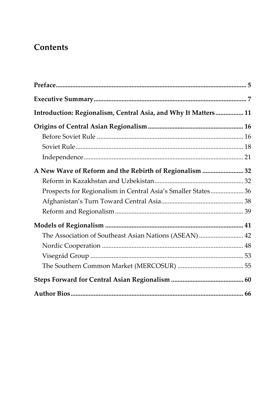# **Contents**

| Introduction: Regionalism, Central Asia, and Why It Matters 11 |  |
|----------------------------------------------------------------|--|
|                                                                |  |
|                                                                |  |
|                                                                |  |
|                                                                |  |
| A New Wave of Reform and the Rebirth of Regionalism  32        |  |
|                                                                |  |
| Prospects for Regionalism in Central Asia's Smaller States 36  |  |
|                                                                |  |
|                                                                |  |
|                                                                |  |
| The Association of Southeast Asian Nations (ASEAN) 42          |  |
|                                                                |  |
|                                                                |  |
|                                                                |  |
|                                                                |  |
|                                                                |  |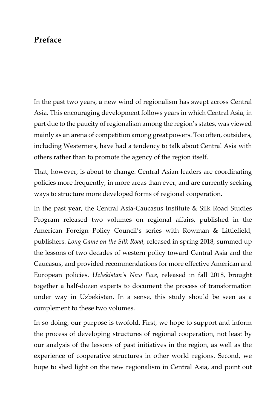## <span id="page-6-0"></span>**Preface**

In the past two years, a new wind of regionalism has swept across Central Asia. This encouraging development follows years in which Central Asia, in part due to the paucity of regionalism among the region's states, was viewed mainly as an arena of competition among great powers. Too often, outsiders, including Westerners, have had a tendency to talk about Central Asia with others rather than to promote the agency of the region itself.

That, however, is about to change. Central Asian leaders are coordinating policies more frequently, in more areas than ever, and are currently seeking ways to structure more developed forms of regional cooperation.

In the past year, the Central Asia-Caucasus Institute & Silk Road Studies Program released two volumes on regional affairs, published in the American Foreign Policy Council's series with Rowman & Littlefield, publishers. *Long Game on the Silk Road*, released in spring 2018, summed up the lessons of two decades of western policy toward Central Asia and the Caucasus, and provided recommendations for more effective American and European policies. *Uzbekistan's New Face*, released in fall 2018, brought together a half-dozen experts to document the process of transformation under way in Uzbekistan. In a sense, this study should be seen as a complement to these two volumes.

In so doing, our purpose is twofold. First, we hope to support and inform the process of developing structures of regional cooperation, not least by our analysis of the lessons of past initiatives in the region, as well as the experience of cooperative structures in other world regions. Second, we hope to shed light on the new regionalism in Central Asia, and point out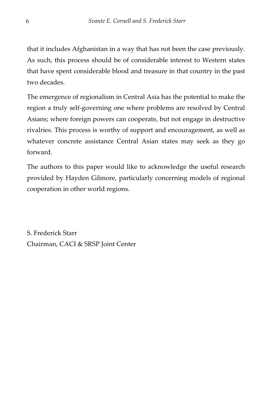that it includes Afghanistan in a way that has not been the case previously. As such, this process should be of considerable interest to Western states that have spent considerable blood and treasure in that country in the past two decades.

The emergence of regionalism in Central Asia has the potential to make the region a truly self-governing one where problems are resolved by Central Asians; where foreign powers can cooperate, but not engage in destructive rivalries. This process is worthy of support and encouragement, as well as whatever concrete assistance Central Asian states may seek as they go forward.

The authors to this paper would like to acknowledge the useful research provided by Hayden Gilmore, particularly concerning models of regional cooperation in other world regions.

S. Frederick Starr Chairman, CACI & SRSP Joint Center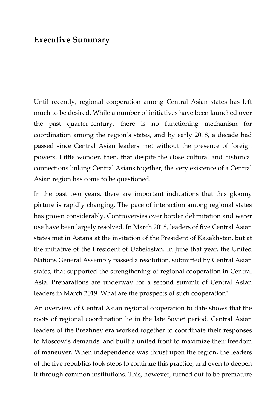## <span id="page-8-0"></span>**Executive Summary**

Until recently, regional cooperation among Central Asian states has left much to be desired. While a number of initiatives have been launched over the past quarter-century, there is no functioning mechanism for coordination among the region's states, and by early 2018, a decade had passed since Central Asian leaders met without the presence of foreign powers. Little wonder, then, that despite the close cultural and historical connections linking Central Asians together, the very existence of a Central Asian region has come to be questioned.

In the past two years, there are important indications that this gloomy picture is rapidly changing. The pace of interaction among regional states has grown considerably. Controversies over border delimitation and water use have been largely resolved. In March 2018, leaders of five Central Asian states met in Astana at the invitation of the President of Kazakhstan, but at the initiative of the President of Uzbekistan. In June that year, the United Nations General Assembly passed a resolution, submitted by Central Asian states, that supported the strengthening of regional cooperation in Central Asia. Preparations are underway for a second summit of Central Asian leaders in March 2019. What are the prospects of such cooperation?

An overview of Central Asian regional cooperation to date shows that the roots of regional coordination lie in the late Soviet period. Central Asian leaders of the Brezhnev era worked together to coordinate their responses to Moscow's demands, and built a united front to maximize their freedom of maneuver. When independence was thrust upon the region, the leaders of the five republics took steps to continue this practice, and even to deepen it through common institutions. This, however, turned out to be premature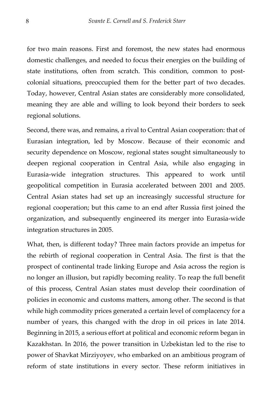for two main reasons. First and foremost, the new states had enormous domestic challenges, and needed to focus their energies on the building of state institutions, often from scratch. This condition, common to postcolonial situations, preoccupied them for the better part of two decades. Today, however, Central Asian states are considerably more consolidated, meaning they are able and willing to look beyond their borders to seek regional solutions.

Second, there was, and remains, a rival to Central Asian cooperation: that of Eurasian integration, led by Moscow. Because of their economic and security dependence on Moscow, regional states sought simultaneously to deepen regional cooperation in Central Asia, while also engaging in Eurasia-wide integration structures. This appeared to work until geopolitical competition in Eurasia accelerated between 2001 and 2005. Central Asian states had set up an increasingly successful structure for regional cooperation; but this came to an end after Russia first joined the organization, and subsequently engineered its merger into Eurasia-wide integration structures in 2005.

What, then, is different today? Three main factors provide an impetus for the rebirth of regional cooperation in Central Asia. The first is that the prospect of continental trade linking Europe and Asia across the region is no longer an illusion, but rapidly becoming reality. To reap the full benefit of this process, Central Asian states must develop their coordination of policies in economic and customs matters, among other. The second is that while high commodity prices generated a certain level of complacency for a number of years, this changed with the drop in oil prices in late 2014. Beginning in 2015, a serious effort at political and economic reform began in Kazakhstan. In 2016, the power transition in Uzbekistan led to the rise to power of Shavkat Mirziyoyev, who embarked on an ambitious program of reform of state institutions in every sector. These reform initiatives in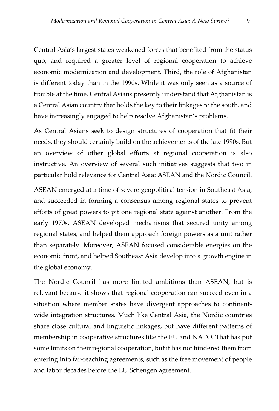Central Asia's largest states weakened forces that benefited from the status quo, and required a greater level of regional cooperation to achieve economic modernization and development. Third, the role of Afghanistan is different today than in the 1990s. While it was only seen as a source of trouble at the time, Central Asians presently understand that Afghanistan is a Central Asian country that holds the key to their linkages to the south, and have increasingly engaged to help resolve Afghanistan's problems.

As Central Asians seek to design structures of cooperation that fit their needs, they should certainly build on the achievements of the late 1990s. But an overview of other global efforts at regional cooperation is also instructive. An overview of several such initiatives suggests that two in particular hold relevance for Central Asia: ASEAN and the Nordic Council.

ASEAN emerged at a time of severe geopolitical tension in Southeast Asia, and succeeded in forming a consensus among regional states to prevent efforts of great powers to pit one regional state against another. From the early 1970s, ASEAN developed mechanisms that secured unity among regional states, and helped them approach foreign powers as a unit rather than separately. Moreover, ASEAN focused considerable energies on the economic front, and helped Southeast Asia develop into a growth engine in the global economy.

The Nordic Council has more limited ambitions than ASEAN, but is relevant because it shows that regional cooperation can succeed even in a situation where member states have divergent approaches to continentwide integration structures. Much like Central Asia, the Nordic countries share close cultural and linguistic linkages, but have different patterns of membership in cooperative structures like the EU and NATO. That has put some limits on their regional cooperation, but it has not hindered them from entering into far-reaching agreements, such as the free movement of people and labor decades before the EU Schengen agreement.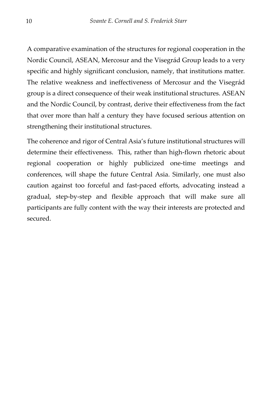A comparative examination of the structures for regional cooperation in the Nordic Council, ASEAN, Mercosur and the Visegrád Group leads to a very specific and highly significant conclusion, namely, that institutions matter*.*  The relative weakness and ineffectiveness of Mercosur and the Visegrád group is a direct consequence of their weak institutional structures. ASEAN and the Nordic Council, by contrast, derive their effectiveness from the fact that over more than half a century they have focused serious attention on strengthening their institutional structures.

The coherence and rigor of Central Asia's future institutional structures will determine their effectiveness. This, rather than high-flown rhetoric about regional cooperation or highly publicized one-time meetings and conferences, will shape the future Central Asia. Similarly, one must also caution against too forceful and fast-paced efforts, advocating instead a gradual, step-by-step and flexible approach that will make sure all participants are fully content with the way their interests are protected and secured.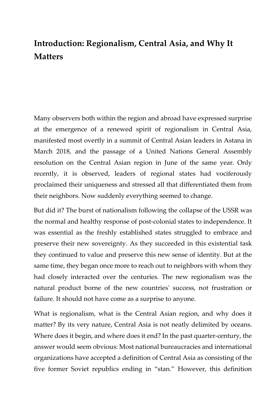# <span id="page-12-0"></span>**Introduction: Regionalism, Central Asia, and Why It Matters**

Many observers both within the region and abroad have expressed surprise at the emergence of a renewed spirit of regionalism in Central Asia, manifested most overtly in a summit of Central Asian leaders in Astana in March 2018, and the passage of a United Nations General Assembly resolution on the Central Asian region in June of the same year. Only recently, it is observed, leaders of regional states had vociferously proclaimed their uniqueness and stressed all that differentiated them from their neighbors. Now suddenly everything seemed to change.

But did it? The burst of nationalism following the collapse of the USSR was the normal and healthy response of post-colonial states to independence. It was essential as the freshly established states struggled to embrace and preserve their new sovereignty. As they succeeded in this existential task they continued to value and preserve this new sense of identity. But at the same time, they began once more to reach out to neighbors with whom they had closely interacted over the centuries. The new regionalism was the natural product borne of the new countries' success, not frustration or failure. It should not have come as a surprise to anyone.

What is regionalism, what is the Central Asian region, and why does it matter? By its very nature, Central Asia is not neatly delimited by oceans. Where does it begin, and where does it end? In the past quarter-century, the answer would seem obvious: Most national bureaucracies and international organizations have accepted a definition of Central Asia as consisting of the five former Soviet republics ending in "stan." However, this definition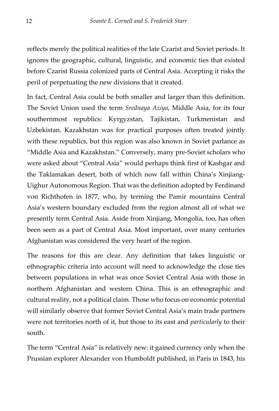reflects merely the political realities of the late Czarist and Soviet periods. It ignores the geographic, cultural, linguistic, and economic ties that existed before Czarist Russia colonized parts of Central Asia. Accepting it risks the peril of perpetuating the new divisions that it created.

In fact, Central Asia could be both smaller and larger than this definition. The Soviet Union used the term *Srednaya Aziya*, Middle Asia, for its four southernmost republics: Kyrgyzstan, Tajikistan, Turkmenistan and Uzbekistan. Kazakhstan was for practical purposes often treated jointly with these republics, but this region was also known in Soviet parlance as "Middle Asia and Kazakhstan." Conversely, many pre-Soviet scholars who were asked about "Central Asia" would perhaps think first of Kashgar and the Taklamakan desert, both of which now fall within China's Xinjiang-Uighur Autonomous Region. That was the definition adopted by Ferdinand von Richthofen in 1877, who, by terming the Pamir mountains Central Asia's western boundary excluded from the region almost all of what we presently term Central Asia. Aside from Xinjiang, Mongolia, too, has often been seen as a part of Central Asia. Most important, over many centuries Afghanistan was considered the very heart of the region.

The reasons for this are clear. Any definition that takes linguistic or ethnographic criteria into account will need to acknowledge the close ties between populations in what was once Soviet Central Asia with those in northern Afghanistan and western China. This is an ethnographic and cultural reality, not a political claim. Those who focus on economic potential will similarly observe that former Soviet Central Asia's main trade partners were not territories north of it, but those to its east and *particularly* to their south.

The term "Central Asia" is relatively new: it gained currency only when the Prussian explorer Alexander von Humboldt published, in Paris in 1843, his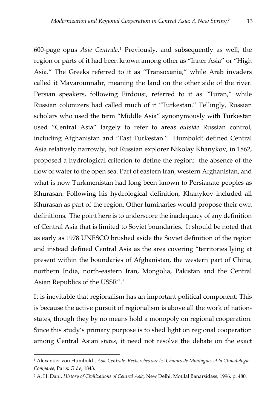600-page opus *Asie Centrale*.[1](#page-14-0) Previously, and subsequently as well, the region or parts of it had been known among other as "Inner Asia" or "High Asia." The Greeks referred to it as "Transoxania," while Arab invaders called it Mavarounnahr, meaning the land on the other side of the river. Persian speakers, following Firdousi, referred to it as "Turan," while Russian colonizers had called much of it "Turkestan." Tellingly, Russian scholars who used the term "Middle Asia" synonymously with Turkestan used "Central Asia" largely to refer to areas *outside* Russian control, including Afghanistan and "East Turkestan." Humboldt defined Central Asia relatively narrowly, but Russian explorer Nikolay Khanykov, in 1862, proposed a hydrological criterion to define the region: the absence of the flow of water to the open sea. Part of eastern Iran, western Afghanistan, and what is now Turkmenistan had long been known to Persianate peoples as Khurasan. Following his hydrological definition, Khanykov included all Khurasan as part of the region. Other luminaries would propose their own definitions. The point here is to underscore the inadequacy of any definition of Central Asia that is limited to Soviet boundaries. It should be noted that as early as 1978 UNESCO brushed aside the Soviet definition of the region and instead defined Central Asia as the area covering "territories lying at present within the boundaries of Afghanistan, the western part of China, northern India, north-eastern Iran, Mongolia, Pakistan and the Central Asian Republics of the USSR".[2](#page-14-1)

It is inevitable that regionalism has an important political component. This is because the active pursuit of regionalism is above all the work of nationstates, though they by no means hold a monopoly on regional cooperation. Since this study's primary purpose is to shed light on regional cooperation among Central Asian *states*, it need not resolve the debate on the exact

 $\overline{a}$ 

<span id="page-14-0"></span><sup>1</sup> Alexander von Humboldt, *Asie Centrale: Recherches sur les Chaines de Montagnes et la Climatologie Comparée*, Paris: Gide, 1843.

<span id="page-14-1"></span><sup>2</sup> A. H. Dani, *History of Civilizations of Central Asia,* New Delhi: Motilal Banarsidass, 1996, p. 480.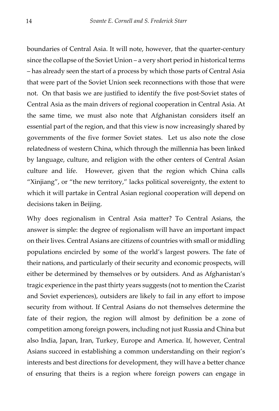boundaries of Central Asia. It will note, however, that the quarter-century since the collapse of the Soviet Union – a very short period in historical terms – has already seen the start of a process by which those parts of Central Asia that were part of the Soviet Union seek reconnections with those that were not. On that basis we are justified to identify the five post-Soviet states of Central Asia as the main drivers of regional cooperation in Central Asia. At the same time, we must also note that Afghanistan considers itself an essential part of the region, and that this view is now increasingly shared by governments of the five former Soviet states. Let us also note the close relatedness of western China, which through the millennia has been linked by language, culture, and religion with the other centers of Central Asian culture and life. However, given that the region which China calls "Xinjiang", or "the new territory," lacks political sovereignty, the extent to which it will partake in Central Asian regional cooperation will depend on decisions taken in Beijing.

Why does regionalism in Central Asia matter? To Central Asians, the answer is simple: the degree of regionalism will have an important impact on their lives. Central Asians are citizens of countries with small or middling populations encircled by some of the world's largest powers. The fate of their nations, and particularly of their security and economic prospects, will either be determined by themselves or by outsiders. And as Afghanistan's tragic experience in the past thirty years suggests (not to mention the Czarist and Soviet experiences), outsiders are likely to fail in any effort to impose security from without. If Central Asians do not themselves determine the fate of their region, the region will almost by definition be a zone of competition among foreign powers, including not just Russia and China but also India, Japan, Iran, Turkey, Europe and America. If, however, Central Asians succeed in establishing a common understanding on their region's interests and best directions for development, they will have a better chance of ensuring that theirs is a region where foreign powers can engage in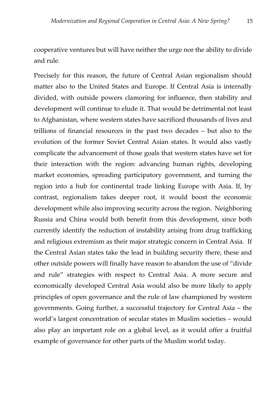cooperative ventures but will have neither the urge nor the ability to divide and rule.

Precisely for this reason, the future of Central Asian regionalism should matter also to the United States and Europe. If Central Asia is internally divided, with outside powers clamoring for influence, then stability and development will continue to elude it. That would be detrimental not least to Afghanistan, where western states have sacrificed thousands of lives and trillions of financial resources in the past two decades – but also to the evolution of the former Soviet Central Asian states. It would also vastly complicate the advancement of those goals that western states have set for their interaction with the region: advancing human rights, developing market economies, spreading participatory government, and turning the region into a hub for continental trade linking Europe with Asia. If, by contrast, regionalism takes deeper root, it would boost the economic development while also improving security across the region. Neighboring Russia and China would both benefit from this development, since both currently identify the reduction of instability arising from drug trafficking and religious extremism as their major strategic concern in Central Asia. If the Central Asian states take the lead in building security there, these and other outside powers will finally have reason to abandon the use of "divide and rule" strategies with respect to Central Asia. A more secure and economically developed Central Asia would also be more likely to apply principles of open governance and the rule of law championed by western governments. Going further, a successful trajectory for Central Asia – the world's largest concentration of secular states in Muslim societies – would also play an important role on a global level, as it would offer a fruitful example of governance for other parts of the Muslim world today.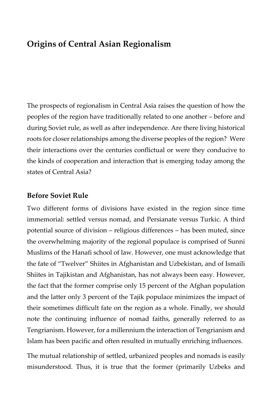## <span id="page-17-0"></span>**Origins of Central Asian Regionalism**

The prospects of regionalism in Central Asia raises the question of how the peoples of the region have traditionally related to one another – before and during Soviet rule, as well as after independence. Are there living historical roots for closer relationships among the diverse peoples of the region? Were their interactions over the centuries conflictual or were they conducive to the kinds of cooperation and interaction that is emerging today among the states of Central Asia?

#### <span id="page-17-1"></span>**Before Soviet Rule**

Two different forms of divisions have existed in the region since time immemorial: settled versus nomad, and Persianate versus Turkic. A third potential source of division – religious differences – has been muted, since the overwhelming majority of the regional populace is comprised of Sunni Muslims of the Hanafi school of law. However, one must acknowledge that the fate of "Twelver" Shiites in Afghanistan and Uzbekistan, and of Ismaili Shiites in Tajikistan and Afghanistan, has not always been easy. However, the fact that the former comprise only 15 percent of the Afghan population and the latter only 3 percent of the Tajik populace minimizes the impact of their sometimes difficult fate on the region as a whole. Finally, we should note the continuing influence of nomad faiths, generally referred to as Tengrianism. However, for a millennium the interaction of Tengrianism and Islam has been pacific and often resulted in mutually enriching influences.

The mutual relationship of settled, urbanized peoples and nomads is easily misunderstood. Thus, it is true that the former (primarily Uzbeks and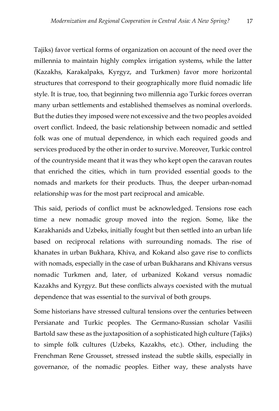Tajiks) favor vertical forms of organization on account of the need over the millennia to maintain highly complex irrigation systems, while the latter (Kazakhs, Karakalpaks, Kyrgyz, and Turkmen) favor more horizontal structures that correspond to their geographically more fluid nomadic life style. It is true, too, that beginning two millennia ago Turkic forces overran many urban settlements and established themselves as nominal overlords. But the duties they imposed were not excessive and the two peoples avoided overt conflict. Indeed, the basic relationship between nomadic and settled folk was one of mutual dependence, in which each required goods and services produced by the other in order to survive. Moreover, Turkic control of the countryside meant that it was they who kept open the caravan routes that enriched the cities, which in turn provided essential goods to the nomads and markets for their products. Thus, the deeper urban-nomad relationship was for the most part reciprocal and amicable.

This said, periods of conflict must be acknowledged. Tensions rose each time a new nomadic group moved into the region. Some, like the Karakhanids and Uzbeks, initially fought but then settled into an urban life based on reciprocal relations with surrounding nomads. The rise of khanates in urban Bukhara, Khiva, and Kokand also gave rise to conflicts with nomads, especially in the case of urban Bukharans and Khivans versus nomadic Turkmen and, later, of urbanized Kokand versus nomadic Kazakhs and Kyrgyz. But these conflicts always coexisted with the mutual dependence that was essential to the survival of both groups.

Some historians have stressed cultural tensions over the centuries between Persianate and Turkic peoples. The Germano-Russian scholar Vasilii Bartold saw these as the juxtaposition of a sophisticated high culture (Tajiks) to simple folk cultures (Uzbeks, Kazakhs, etc.). Other, including the Frenchman Rene Grousset, stressed instead the subtle skills, especially in governance, of the nomadic peoples. Either way, these analysts have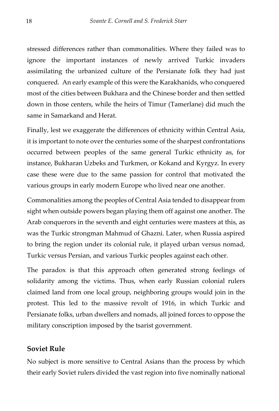stressed differences rather than commonalities. Where they failed was to ignore the important instances of newly arrived Turkic invaders assimilating the urbanized culture of the Persianate folk they had just conquered. An early example of this were the Karakhanids, who conquered most of the cities between Bukhara and the Chinese border and then settled down in those centers, while the heirs of Timur (Tamerlane) did much the same in Samarkand and Herat.

Finally, lest we exaggerate the differences of ethnicity within Central Asia, it is important to note over the centuries some of the sharpest confrontations occurred between peoples of the same general Turkic ethnicity as, for instance, Bukharan Uzbeks and Turkmen, or Kokand and Kyrgyz. In every case these were due to the same passion for control that motivated the various groups in early modern Europe who lived near one another.

Commonalities among the peoples of Central Asia tended to disappear from sight when outside powers began playing them off against one another. The Arab conquerors in the seventh and eight centuries were masters at this, as was the Turkic strongman Mahmud of Ghazni. Later, when Russia aspired to bring the region under its colonial rule, it played urban versus nomad, Turkic versus Persian, and various Turkic peoples against each other.

The paradox is that this approach often generated strong feelings of solidarity among the victims. Thus, when early Russian colonial rulers claimed land from one local group, neighboring groups would join in the protest. This led to the massive revolt of 1916, in which Turkic and Persianate folks, urban dwellers and nomads, all joined forces to oppose the military conscription imposed by the tsarist government.

#### <span id="page-19-0"></span>**Soviet Rule**

No subject is more sensitive to Central Asians than the process by which their early Soviet rulers divided the vast region into five nominally national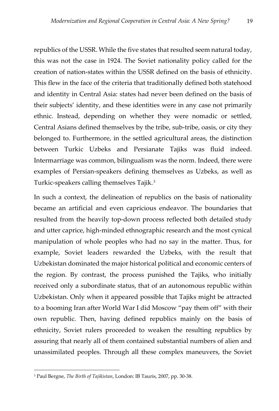republics of the USSR. While the five states that resulted seem natural today, this was not the case in 1924. The Soviet nationality policy called for the creation of nation-states within the USSR defined on the basis of ethnicity. This flew in the face of the criteria that traditionally defined both statehood and identity in Central Asia: states had never been defined on the basis of their subjects' identity, and these identities were in any case not primarily ethnic. Instead, depending on whether they were nomadic or settled, Central Asians defined themselves by the tribe, sub-tribe, oasis, or city they belonged to. Furthermore, in the settled agricultural areas, the distinction between Turkic Uzbeks and Persianate Tajiks was fluid indeed. Intermarriage was common, bilingualism was the norm. Indeed, there were examples of Persian-speakers defining themselves as Uzbeks, as well as Turkic-speakers calling themselves Tajik.<sup>[3](#page-20-0)</sup>

In such a context, the delineation of republics on the basis of nationality became an artificial and even capricious endeavor. The boundaries that resulted from the heavily top-down process reflected both detailed study and utter caprice, high-minded ethnographic research and the most cynical manipulation of whole peoples who had no say in the matter. Thus, for example, Soviet leaders rewarded the Uzbeks, with the result that Uzbekistan dominated the major historical political and economic centers of the region. By contrast, the process punished the Tajiks, who initially received only a subordinate status, that of an autonomous republic within Uzbekistan. Only when it appeared possible that Tajiks might be attracted to a booming Iran after World War I did Moscow "pay them off" with their own republic. Then, having defined republics mainly on the basis of ethnicity, Soviet rulers proceeded to weaken the resulting republics by assuring that nearly all of them contained substantial numbers of alien and unassimilated peoples. Through all these complex maneuvers, the Soviet

 $\overline{a}$ 

<span id="page-20-0"></span><sup>3</sup> Paul Bergne, *The Birth of Tajikistan*, London: IB Tauris, 2007, pp. 30-38.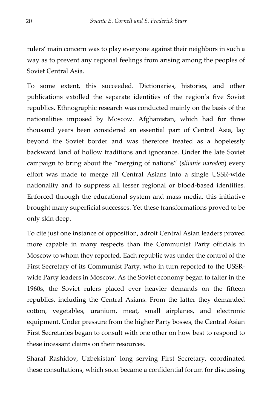rulers' main concern was to play everyone against their neighbors in such a way as to prevent any regional feelings from arising among the peoples of Soviet Central Asia.

To some extent, this succeeded. Dictionaries, histories, and other publications extolled the separate identities of the region's five Soviet republics. Ethnographic research was conducted mainly on the basis of the nationalities imposed by Moscow. Afghanistan, which had for three thousand years been considered an essential part of Central Asia, lay beyond the Soviet border and was therefore treated as a hopelessly backward land of hollow traditions and ignorance. Under the late Soviet campaign to bring about the "merging of nations" (*sliianie narodov*) every effort was made to merge all Central Asians into a single USSR-wide nationality and to suppress all lesser regional or blood-based identities. Enforced through the educational system and mass media, this initiative brought many superficial successes. Yet these transformations proved to be only skin deep.

To cite just one instance of opposition, adroit Central Asian leaders proved more capable in many respects than the Communist Party officials in Moscow to whom they reported. Each republic was under the control of the First Secretary of its Communist Party, who in turn reported to the USSRwide Party leaders in Moscow. As the Soviet economy began to falter in the 1960s, the Soviet rulers placed ever heavier demands on the fifteen republics, including the Central Asians. From the latter they demanded cotton, vegetables, uranium, meat, small airplanes, and electronic equipment. Under pressure from the higher Party bosses, the Central Asian First Secretaries began to consult with one other on how best to respond to these incessant claims on their resources.

Sharaf Rashidov, Uzbekistan' long serving First Secretary, coordinated these consultations, which soon became a confidential forum for discussing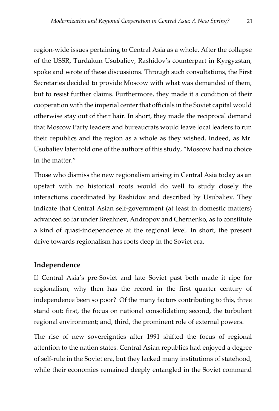region-wide issues pertaining to Central Asia as a whole. After the collapse of the USSR, Turdakun Usubaliev, Rashidov's counterpart in Kyrgyzstan, spoke and wrote of these discussions. Through such consultations, the First Secretaries decided to provide Moscow with what was demanded of them, but to resist further claims. Furthermore, they made it a condition of their cooperation with the imperial center that officials in the Soviet capital would otherwise stay out of their hair. In short, they made the reciprocal demand that Moscow Party leaders and bureaucrats would leave local leaders to run their republics and the region as a whole as they wished. Indeed, as Mr. Usubaliev later told one of the authors of this study, "Moscow had no choice in the matter."

Those who dismiss the new regionalism arising in Central Asia today as an upstart with no historical roots would do well to study closely the interactions coordinated by Rashidov and described by Usubaliev. They indicate that Central Asian self-government (at least in domestic matters) advanced so far under Brezhnev, Andropov and Chernenko, as to constitute a kind of quasi-independence at the regional level. In short, the present drive towards regionalism has roots deep in the Soviet era.

### <span id="page-22-0"></span>**Independence**

If Central Asia's pre-Soviet and late Soviet past both made it ripe for regionalism, why then has the record in the first quarter century of independence been so poor? Of the many factors contributing to this, three stand out: first, the focus on national consolidation; second, the turbulent regional environment; and, third, the prominent role of external powers.

The rise of new sovereignties after 1991 shifted the focus of regional attention to the nation states. Central Asian republics had enjoyed a degree of self-rule in the Soviet era, but they lacked many institutions of statehood, while their economies remained deeply entangled in the Soviet command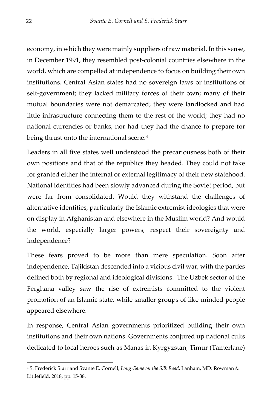economy, in which they were mainly suppliers of raw material. In this sense, in December 1991, they resembled post-colonial countries elsewhere in the world, which are compelled at independence to focus on building their own institutions. Central Asian states had no sovereign laws or institutions of self-government; they lacked military forces of their own; many of their mutual boundaries were not demarcated; they were landlocked and had little infrastructure connecting them to the rest of the world; they had no national currencies or banks; nor had they had the chance to prepare for being thrust onto the international scene.<sup>[4](#page-23-0)</sup>

Leaders in all five states well understood the precariousness both of their own positions and that of the republics they headed. They could not take for granted either the internal or external legitimacy of their new statehood. National identities had been slowly advanced during the Soviet period, but were far from consolidated. Would they withstand the challenges of alternative identities, particularly the Islamic extremist ideologies that were on display in Afghanistan and elsewhere in the Muslim world? And would the world, especially larger powers, respect their sovereignty and independence?

These fears proved to be more than mere speculation. Soon after independence, Tajikistan descended into a vicious civil war, with the parties defined both by regional and ideological divisions. The Uzbek sector of the Ferghana valley saw the rise of extremists committed to the violent promotion of an Islamic state, while smaller groups of like-minded people appeared elsewhere.

In response, Central Asian governments prioritized building their own institutions and their own nations. Governments conjured up national cults dedicated to local heroes such as Manas in Kyrgyzstan, Timur (Tamerlane)

-

<span id="page-23-0"></span><sup>4</sup> S. Frederick Starr and Svante E. Cornell, *Long Game on the Silk Road*, Lanham, MD: Rowman & Littlefield, 2018, pp. 15-38.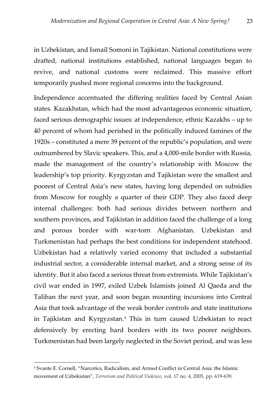in Uzbekistan, and Ismail Somoni in Tajikistan. National constitutions were drafted, national institutions established, national languages began to revive, and national customs were reclaimed. This massive effort temporarily pushed more regional concerns into the background.

Independence accentuated the differing realities faced by Central Asian states. Kazakhstan, which had the most advantageous economic situation, faced serious demographic issues: at independence, ethnic Kazakhs – up to 40 percent of whom had perished in the politically induced famines of the 1920s – constituted a mere 39 percent of the republic's population, and were outnumbered by Slavic speakers. This, and a 4,000-mile border with Russia, made the management of the country's relationship with Moscow the leadership's top priority. Kyrgyzstan and Tajikistan were the smallest and poorest of Central Asia's new states, having long depended on subsidies from Moscow for roughly a quarter of their GDP. They also faced deep internal challenges: both had serious divides between northern and southern provinces, and Tajikistan in addition faced the challenge of a long and porous border with war-torn Afghanistan. Uzbekistan and Turkmenistan had perhaps the best conditions for independent statehood. Uzbekistan had a relatively varied economy that included a substantial industrial sector, a considerable internal market, and a strong sense of its identity. But it also faced a serious threat from extremists. While Tajikistan's civil war ended in 1997, exiled Uzbek Islamists joined Al Qaeda and the Taliban the next year, and soon began mounting incursions into Central Asia that took advantage of the weak border controls and state institutions in Tajikistan and Kyrgyzstan.[5](#page-24-0) This in turn caused Uzbekistan to react defensively by erecting hard borders with its two poorer neighbors. Turkmenistan had been largely neglected in the Soviet period, and was less

 $\overline{a}$ 

<span id="page-24-0"></span><sup>5</sup> Svante E. Cornell, ["Narcotics, Radicalism, and Armed Conflict in Central Asia: the](https://www.tandfonline.com/doi/abs/10.1080/095465591009395) Islamic movement of [Uzbekistan"](https://www.tandfonline.com/doi/abs/10.1080/095465591009395), *Terrorism and Political Violence*, vol. 17 no. 4, 2005, pp. 619-639.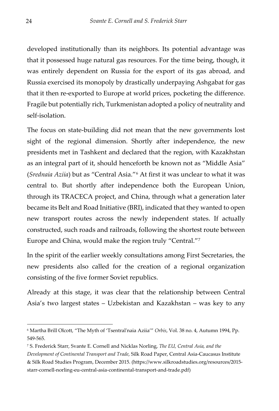developed institutionally than its neighbors. Its potential advantage was that it possessed huge natural gas resources. For the time being, though, it was entirely dependent on Russia for the export of its gas abroad, and Russia exercised its monopoly by drastically underpaying Ashgabat for gas that it then re-exported to Europe at world prices, pocketing the difference. Fragile but potentially rich, Turkmenistan adopted a policy of neutrality and self-isolation.

The focus on state-building did not mean that the new governments lost sight of the regional dimension. Shortly after independence, the new presidents met in Tashkent and declared that the region, with Kazakhstan as an integral part of it, should henceforth be known not as "Middle Asia" (*Srednaia Aziia*) but as "Central Asia."[6](#page-25-0) At first it was unclear to what it was central to. But shortly after independence both the European Union, through its TRACECA project, and China, through what a generation later became its Belt and Road Initiative (BRI), indicated that they wanted to open new transport routes across the newly independent states. If actually constructed, such roads and railroads, following the shortest route between Europe and China, would make the region truly "Central."[7](#page-25-1)

In the spirit of the earlier weekly consultations among First Secretaries, the new presidents also called for the creation of a regional organization consisting of the five former Soviet republics.

Already at this stage, it was clear that the relationship between Central Asia's two largest states – Uzbekistan and Kazakhstan – was key to any

-

<span id="page-25-0"></span><sup>6</sup> Martha Brill Olcott, "The Myth of 'Tsentral'naia Aziia'" *Orbis*[, Vol. 38 no. 4,](https://www.sciencedirect.com/science/journal/00304387/38/4) Autumn 1994, Pp. 549-565.

<span id="page-25-1"></span><sup>7</sup> S. Frederick Starr, Svante E. Cornell and Nicklas Norling, *The EU, Central Asia, and the Development of Continental Transport and Trade*, Silk Road Paper, Central Asia-Caucasus Institute & Silk Road Studies Program, December 2015. (https://www.silkroadstudies.org/resources/2015 starr-cornell-norling-eu-central-asia-continental-transport-and-trade.pdf)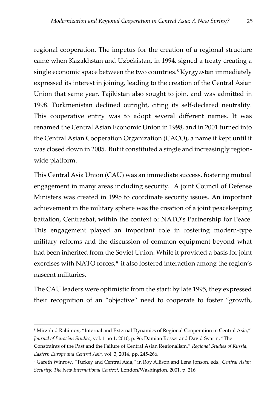regional cooperation. The impetus for the creation of a regional structure came when Kazakhstan and Uzbekistan, in 1994, signed a treaty creating a single economic space between the two countries.<sup>[8](#page-26-0)</sup> Kyrgyzstan immediately expressed its interest in joining, leading to the creation of the Central Asian Union that same year. Tajikistan also sought to join, and was admitted in 1998. Turkmenistan declined outright, citing its self-declared neutrality. This cooperative entity was to adopt several different names. It was renamed the Central Asian Economic Union in 1998, and in 2001 turned into the Central Asian Cooperation Organization (CACO), a name it kept until it was closed down in 2005. But it constituted a single and increasingly regionwide platform.

This Central Asia Union (CAU) was an immediate success, fostering mutual engagement in many areas including security. A joint Council of Defense Ministers was created in 1995 to coordinate security issues. An important achievement in the military sphere was the creation of a joint peacekeeping battalion, Centrasbat, within the context of NATO's Partnership for Peace. This engagement played an important role in fostering modern-type military reforms and the discussion of common equipment beyond what had been inherited from the Soviet Union. While it provided a basis for joint exercises with NATO forces,<sup>9</sup> it also fostered interaction among the region's nascent militaries.

The CAU leaders were optimistic from the start: by late 1995, they expressed their recognition of an "objective" need to cooperate to foster "growth,

 $\overline{a}$ 

<span id="page-26-0"></span><sup>&</sup>lt;sup>8</sup> Mirzohid Rahimov, "Internal and External Dynamics of Regional Cooperation in Central Asia," *Journal of Eurasian Studies*, vol. 1 no 1, 2010, p. 96; Damian Rosset and David Svarin, "The

Constraints of the Past and the Failure of Central Asian Regionalism," *Regional Studies of Russia, Eastern Europe and Central Asia*, vol. 3, 2014, pp. 245-266.

<span id="page-26-1"></span><sup>9</sup> Gareth Winrow, "Turkey and Central Asia," in Roy Allison and Lena Jonson, eds., *Central Asian Security: The New International Context,* London/Washington, 2001, p. 216.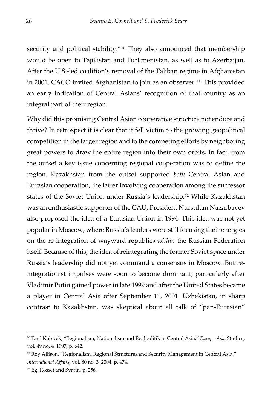security and political stability."<sup>[10](#page-27-0)</sup> They also announced that membership would be open to Tajikistan and Turkmenistan, as well as to Azerbaijan. After the U.S.-led coalition's removal of the Taliban regime in Afghanistan in 2001, CACO invited Afghanistan to join as an observer.<sup>11</sup> This provided an early indication of Central Asians' recognition of that country as an integral part of their region.

Why did this promising Central Asian cooperative structure not endure and thrive? In retrospect it is clear that it fell victim to the growing geopolitical competition in the larger region and to the competing efforts by neighboring great powers to draw the entire region into their own orbits. In fact, from the outset a key issue concerning regional cooperation was to define the region. Kazakhstan from the outset supported *both* Central Asian and Eurasian cooperation, the latter involving cooperation among the successor states of the Soviet Union under Russia's leadership.[12](#page-27-2) While Kazakhstan was an enthusiastic supporter of the CAU, President Nursultan Nazarbayev also proposed the idea of a Eurasian Union in 1994. This idea was not yet popular in Moscow, where Russia's leaders were still focusing their energies on the re-integration of wayward republics *within* the Russian Federation itself. Because of this, the idea of reintegrating the former Soviet space under Russia's leadership did not yet command a consensus in Moscow. But reintegrationist impulses were soon to become dominant, particularly after Vladimir Putin gained power in late 1999 and after the United States became a player in Central Asia after September 11, 2001. Uzbekistan, in sharp contrast to Kazakhstan, was skeptical about all talk of "pan-Eurasian"

-

<span id="page-27-0"></span><sup>10</sup> Paul Kubicek, "Regionalism, Nationalism and Realpolitik in Central Asia," *Europe-Asia* Studies, vol. 49 no. 4, 1997, p. 642.

<span id="page-27-1"></span><sup>&</sup>lt;sup>11</sup> Roy Allison, "Regionalism, Regional Structures and Security Management in Central Asia," *International Affairs*, vol. 80 no. 3, 2004, p. 474.

<span id="page-27-2"></span><sup>12</sup> Eg. Rosset and Svarin, p. 256.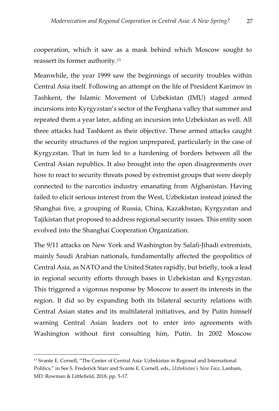cooperation, which it saw as a mask behind which Moscow sought to reassert its former authority.[13](#page-28-0) 

Meanwhile, the year 1999 saw the beginnings of security troubles within Central Asia itself. Following an attempt on the life of President Karimov in Tashkent, the Islamic Movement of Uzbekistan (IMU) staged armed incursions into Kyrgyzstan's sector of the Ferghana valley that summer and repeated them a year later, adding an incursion into Uzbekistan as well. All three attacks had Tashkent as their objective. These armed attacks caught the security structures of the region unprepared, particularly in the case of Kyrgyzstan. That in turn led to a hardening of borders between all the Central Asian republics. It also brought into the open disagreements over how to react to security threats posed by extremist groups that were deeply connected to the narcotics industry emanating from Afghanistan. Having failed to elicit serious interest from the West, Uzbekistan instead joined the Shanghai five, a grouping of Russia, China, Kazakhstan, Kyrgyzstan and Tajikistan that proposed to address regional security issues. This entity soon evolved into the Shanghai Cooperation Organization.

The 9/11 attacks on New York and Washington by Salafi-Jihadi extremists, mainly Saudi Arabian nationals, fundamentally affected the geopolitics of Central Asia, as NATO and the United States rapidly, but briefly, took a lead in regional security efforts through bases in Uzbekistan and Kyrgyzstan. This triggered a vigorous response by Moscow to assert its interests in the region. It did so by expanding both its bilateral security relations with Central Asian states and its multilateral initiatives, and by Putin himself warning Central Asian leaders not to enter into agreements with Washington without first consulting him, Putin. In 2002 Moscow

 $\overline{a}$ 

<span id="page-28-0"></span><sup>13</sup> Svante E. Cornell, "The Center of Central Asia: Uzbekistan in Regional and International Politics," in See S. Frederick Starr and Svante E. Cornell, eds., *Uzbekistan's New Face*, Lanham, MD: Rowman & Littlefield, 2018, pp. 5-17.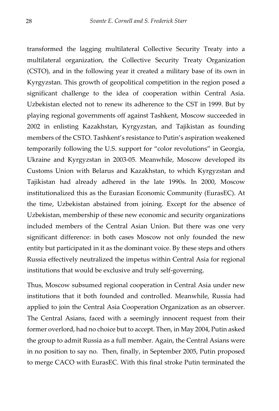transformed the lagging multilateral Collective Security Treaty into a multilateral organization, the Collective Security Treaty Organization (CSTO), and in the following year it created a military base of its own in Kyrgyzstan. This growth of geopolitical competition in the region posed a significant challenge to the idea of cooperation within Central Asia. Uzbekistan elected not to renew its adherence to the CST in 1999. But by playing regional governments off against Tashkent, Moscow succeeded in 2002 in enlisting Kazakhstan, Kyrgyzstan, and Tajikistan as founding members of the CSTO. Tashkent's resistance to Putin's aspiration weakened temporarily following the U.S. support for "color revolutions" in Georgia, Ukraine and Kyrgyzstan in 2003-05. Meanwhile, Moscow developed its Customs Union with Belarus and Kazakhstan, to which Kyrgyzstan and Tajikistan had already adhered in the late 1990s. In 2000, Moscow institutionalized this as the Eurasian Economic Community (EurasEC). At the time, Uzbekistan abstained from joining. Except for the absence of Uzbekistan, membership of these new economic and security organizations included members of the Central Asian Union. But there was one very significant difference: in both cases Moscow not only founded the new entity but participated in it as the dominant voice. By these steps and others Russia effectively neutralized the impetus within Central Asia for regional institutions that would be exclusive and truly self-governing.

Thus, Moscow subsumed regional cooperation in Central Asia under new institutions that it both founded and controlled. Meanwhile, Russia had applied to join the Central Asia Cooperation Organization as an observer. The Central Asians, faced with a seemingly innocent request from their former overlord, had no choice but to accept. Then, in May 2004, Putin asked the group to admit Russia as a full member. Again, the Central Asians were in no position to say no. Then, finally, in September 2005, Putin proposed to merge CACO with EurasEC. With this final stroke Putin terminated the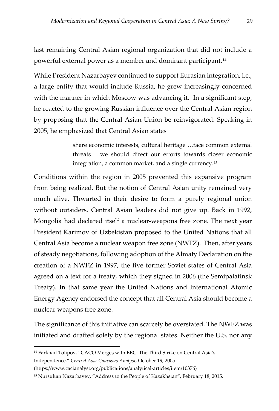last remaining Central Asian regional organization that did not include a powerful external power as a member and dominant participant.[14](#page-30-0)

While President Nazarbayev continued to support Eurasian integration, i.e., a large entity that would include Russia, he grew increasingly concerned with the manner in which Moscow was advancing it. In a significant step, he reacted to the growing Russian influence over the Central Asian region by proposing that the Central Asian Union be reinvigorated. Speaking in 2005, he emphasized that Central Asian states

> share economic interests, cultural heritage …face common external threats …we should direct our efforts towards closer economic integration, a common market, and a single currency.[15](#page-30-1)

Conditions within the region in 2005 prevented this expansive program from being realized. But the notion of Central Asian unity remained very much alive. Thwarted in their desire to form a purely regional union without outsiders, Central Asian leaders did not give up. Back in 1992, Mongolia had declared itself a nuclear-weapons free zone. The next year President Karimov of Uzbekistan proposed to the United Nations that all Central Asia become a nuclear weapon free zone (NWFZ). Then, after years of steady negotiations, following adoption of the Almaty Declaration on the creation of a NWFZ in 1997, the five former Soviet states of Central Asia agreed on a text for a treaty, which they signed in 2006 (the Semipalatinsk Treaty). In that same year the United Nations and International Atomic Energy Agency endorsed the concept that all Central Asia should become a nuclear weapons free zone.

The significance of this initiative can scarcely be overstated. The NWFZ was initiated and drafted solely by the regional states. Neither the U.S. nor any

 $\overline{a}$ 

<span id="page-30-0"></span><sup>&</sup>lt;sup>14</sup> Farkhad Tolipov, "CACO Merges with EEC: The Third Strike on Central Asia's Independence," *Central Asia-Caucasus Analyst*, October 19, 2005.

<sup>(</sup>https://www.cacianalyst.org/publications/analytical-articles/item/10376)

<span id="page-30-1"></span><sup>15</sup> Nursultan Nazarbayev, "Address to the People of Kazakhstan", February 18, 2015.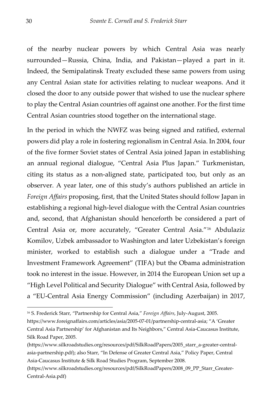of the nearby nuclear powers by which Central Asia was nearly surrounded—Russia, China, India, and Pakistan—played a part in it. Indeed, the Semipalatinsk Treaty excluded these same powers from using any Central Asian state for activities relating to nuclear weapons. And it closed the door to any outside power that wished to use the nuclear sphere to play the Central Asian countries off against one another. For the first time Central Asian countries stood together on the international stage.

In the period in which the NWFZ was being signed and ratified, external powers did play a role in fostering regionalism in Central Asia. In 2004, four of the five former Soviet states of Central Asia joined Japan in establishing an annual regional dialogue, "Central Asia Plus Japan." Turkmenistan, citing its status as a non-aligned state, participated too, but only as an observer. A year later, one of this study's authors published an article in *Foreign Affairs* proposing, first, that the United States should follow Japan in establishing a regional high-level dialogue with the Central Asian countries and, second, that Afghanistan should henceforth be considered a part of Central Asia or, more accurately, "Greater Central Asia."[16](#page-31-0) Abdulaziz Komilov, Uzbek ambassador to Washington and later Uzbekistan's foreign minister, worked to establish such a dialogue under a "Trade and Investment Framework Agreement" (TIFA) but the Obama administration took no interest in the issue. However, in 2014 the European Union set up a "High Level Political and Security Dialogue" with Central Asia, followed by a "EU-Central Asia Energy Commission" (including Azerbaijan) in 2017,

-

<span id="page-31-0"></span><sup>16</sup> S. Frederick Starr, "Partnership for Central Asia," *Foreign Affairs*, July-August, 2005.

https://www.foreignaffairs.com/articles/asia/2005-07-01/partnership-central-asia; "A 'Greater Central Asia Partnership' for Afghanistan and Its Neighbors," Central Asia-Caucasus Institute, Silk Road Paper, 2005.

<sup>(</sup>https://www.silkroadstudies.org/resources/pdf/SilkRoadPapers/2005\_starr\_a-greater-centralasia-partnership.pdf); also Starr, "In Defense of Greater Central Asia," Policy Paper, Central Asia-Caucasus Institute & Silk Road Studies Program, September 2008.

<sup>(</sup>https://www.silkroadstudies.org/resources/pdf/SilkRoadPapers/2008\_09\_PP\_Starr\_Greater-Central-Asia.pdf)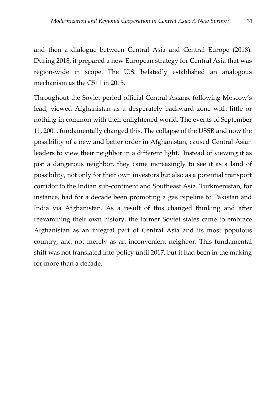and then a dialogue between Central Asia and Central Europe (2018). During 2018, it prepared a new European strategy for Central Asia that was region-wide in scope. The U.S. belatedly established an analogous mechanism as the C5+1 in 2015.

Throughout the Soviet period official Central Asians, following Moscow's lead, viewed Afghanistan as a desperately backward zone with little or nothing in common with their enlightened world. The events of September 11, 2001, fundamentally changed this. The collapse of the USSR and now the possibility of a new and better order in Afghanistan, caused Central Asian leaders to view their neighbor in a different light. Instead of viewing it as just a dangerous neighbor, they came increasingly to see it as a land of possibility, not only for their own investors but also as a potential transport corridor to the Indian sub-continent and Southeast Asia. Turkmenistan, for instance, had for a decade been promoting a gas pipeline to Pakistan and India via Afghanistan. As a result of this changed thinking and after reexamining their own history, the former Soviet states came to embrace Afghanistan as an integral part of Central Asia and its most populous country, and not merely as an inconvenient neighbor. This fundamental shift was not translated into policy until 2017, but it had been in the making for more than a decade.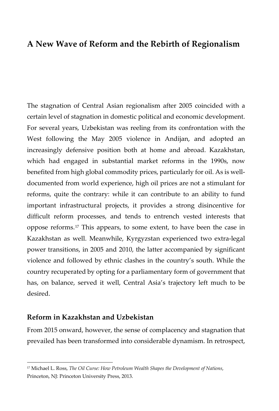## <span id="page-33-0"></span>**A New Wave of Reform and the Rebirth of Regionalism**

The stagnation of Central Asian regionalism after 2005 coincided with a certain level of stagnation in domestic political and economic development. For several years, Uzbekistan was reeling from its confrontation with the West following the May 2005 violence in Andijan, and adopted an increasingly defensive position both at home and abroad. Kazakhstan, which had engaged in substantial market reforms in the 1990s, now benefited from high global commodity prices, particularly for oil. As is welldocumented from world experience, high oil prices are not a stimulant for reforms, quite the contrary: while it can contribute to an ability to fund important infrastructural projects, it provides a strong disincentive for difficult reform processes, and tends to entrench vested interests that oppose reforms.[17](#page-33-2) This appears, to some extent, to have been the case in Kazakhstan as well. Meanwhile, Kyrgyzstan experienced two extra-legal power transitions, in 2005 and 2010, the latter accompanied by significant violence and followed by ethnic clashes in the country's south. While the country recuperated by opting for a parliamentary form of government that has, on balance, served it well, Central Asia's trajectory left much to be desired.

#### <span id="page-33-1"></span>**Reform in Kazakhstan and Uzbekistan**

-

From 2015 onward, however, the sense of complacency and stagnation that prevailed has been transformed into considerable dynamism. In retrospect,

<span id="page-33-2"></span><sup>17</sup> Michael L. Ross, *The Oil Curse: How Petroleum Wealth Shapes the Development of Nations*, Princeton, NJ: Princeton University Press, 2013.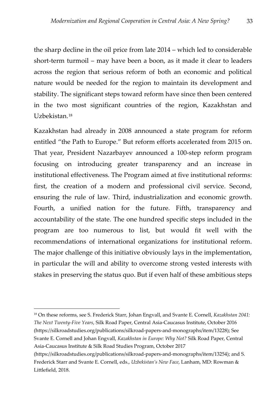the sharp decline in the oil price from late 2014 – which led to considerable short-term turmoil – may have been a boon, as it made it clear to leaders across the region that serious reform of both an economic and political nature would be needed for the region to maintain its development and stability. The significant steps toward reform have since then been centered in the two most significant countries of the region, Kazakhstan and Uzbekistan.[18](#page-34-0)

Kazakhstan had already in 2008 announced a state program for reform entitled "the Path to Europe." But reform efforts accelerated from 2015 on. That year, President Nazarbayev announced a 100-step reform program focusing on introducing greater transparency and an increase in institutional effectiveness. The Program aimed at five institutional reforms: first, the creation of a modern and professional civil service. Second, ensuring the rule of law. Third, industrialization and economic growth. Fourth, a unified nation for the future. Fifth, transparency and accountability of the state. The one hundred specific steps included in the program are too numerous to list, but would fit well with the recommendations of international organizations for institutional reform. The major challenge of this initiative obviously lays in the implementation, in particular the will and ability to overcome strong vested interests with stakes in preserving the status quo. But if even half of these ambitious steps

j

<span id="page-34-0"></span><sup>18</sup> On these reforms, see S. Frederick Starr, Johan Engvall, and Svante E. Cornell, *Kazakhstan 2041: The Next Twenty-Five Years*, Silk Road Paper, Central Asia-Caucasus Institute, October 2016 (https://silkroadstudies.org/publications/silkroad-papers-and-monographs/item/13228); See Svante E. Cornell and Johan Engvall, *Kazakhstan in Europe: Why Not?* Silk Road Paper, Central Asia-Caucasus Institute & Silk Road Studies Program, October 2017

<sup>(</sup>https://silkroadstudies.org/publications/silkroad-papers-and-monographs/item/13254); and S. Frederick Starr and Svante E. Cornell, eds., *Uzbekistan's New Face*, Lanham, MD: Rowman & Littlefield, 2018.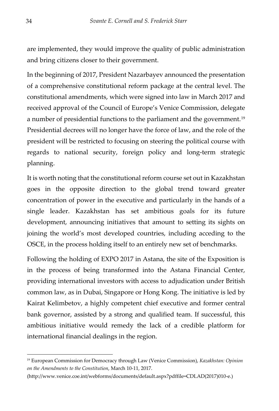are implemented, they would improve the quality of public administration and bring citizens closer to their government.

In the beginning of 2017, President Nazarbayev announced the presentation of a comprehensive constitutional reform package at the central level. The constitutional amendments, which were signed into law in March 2017 and received approval of the Council of Europe's Venice Commission, delegate a number of presidential functions to the parliament and the government.<sup>[19](#page-35-0)</sup> Presidential decrees will no longer have the force of law, and the role of the president will be restricted to focusing on steering the political course with regards to national security, foreign policy and long-term strategic planning.

It is worth noting that the constitutional reform course set out in Kazakhstan goes in the opposite direction to the global trend toward greater concentration of power in the executive and particularly in the hands of a single leader. Kazakhstan has set ambitious goals for its future development, announcing initiatives that amount to setting its sights on joining the world's most developed countries, including acceding to the OSCE, in the process holding itself to an entirely new set of benchmarks.

Following the holding of EXPO 2017 in Astana, the site of the Exposition is in the process of being transformed into the Astana Financial Center, providing international investors with access to adjudication under British common law, as in Dubai, Singapore or Hong Kong. The initiative is led by Kairat Kelimbetov, a highly competent chief executive and former central bank governor, assisted by a strong and qualified team. If successful, this ambitious initiative would remedy the lack of a credible platform for international financial dealings in the region.

-

<span id="page-35-0"></span><sup>19</sup> European Commission for Democracy through Law (Venice Commission), *Kazakhstan: Opinion on the Amendments to the Constitution*, March 10-11, 2017.

<sup>(</sup>http://www.venice.coe.int/webforms/documents/default.aspx?pdffile=CDLAD(2017)010-e.)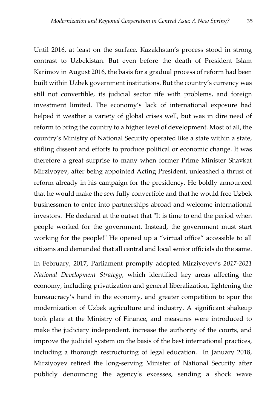Until 2016, at least on the surface, Kazakhstan's process stood in strong contrast to Uzbekistan. But even before the death of President Islam Karimov in August 2016, the basis for a gradual process of reform had been built within Uzbek government institutions. But the country's currency was still not convertible, its judicial sector rife with problems, and foreign investment limited. The economy's lack of international exposure had helped it weather a variety of global crises well, but was in dire need of reform to bring the country to a higher level of development. Most of all, the country's Ministry of National Security operated like a state within a state, stifling dissent and efforts to produce political or economic change. It was therefore a great surprise to many when former Prime Minister Shavkat Mirziyoyev, after being appointed Acting President, unleashed a thrust of reform already in his campaign for the presidency. He boldly announced that he would make the *som* fully convertible and that he would free Uzbek businessmen to enter into partnerships abroad and welcome international investors. He declared at the outset that "It is time to end the period when people worked for the government. Instead, the government must start working for the people!" He opened up a "virtual office" accessible to all citizens and demanded that all central and local senior officials do the same.

In February, 2017, Parliament promptly adopted Mirziyoyev's *2017-2021 National Development Strategy*, which identified key areas affecting the economy, including privatization and general liberalization, lightening the bureaucracy's hand in the economy, and greater competition to spur the modernization of Uzbek agriculture and industry. A significant shakeup took place at the Ministry of Finance, and measures were introduced to make the judiciary independent, increase the authority of the courts, and improve the judicial system on the basis of the best international practices, including a thorough restructuring of legal education. In January 2018, Mirziyoyev retired the long-serving Minister of National Security after publicly denouncing the agency's excesses, sending a shock wave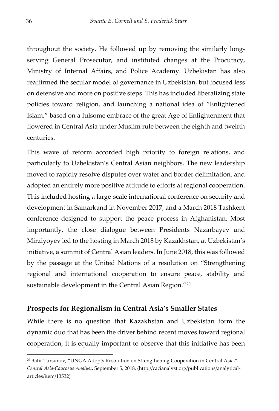throughout the society. He followed up by removing the similarly longserving General Prosecutor, and instituted changes at the Procuracy, Ministry of Internal Affairs, and Police Academy. Uzbekistan has also reaffirmed the secular model of governance in Uzbekistan, but focused less on defensive and more on positive steps. This has included liberalizing state policies toward religion, and launching a national idea of "Enlightened Islam," based on a fulsome embrace of the great Age of Enlightenment that flowered in Central Asia under Muslim rule between the eighth and twelfth centuries.

This wave of reform accorded high priority to foreign relations, and particularly to Uzbekistan's Central Asian neighbors. The new leadership moved to rapidly resolve disputes over water and border delimitation, and adopted an entirely more positive attitude to efforts at regional cooperation. This included hosting a large-scale international conference on security and development in Samarkand in November 2017, and a March 2018 Tashkent conference designed to support the peace process in Afghanistan. Most importantly, the close dialogue between Presidents Nazarbayev and Mirziyoyev led to the hosting in March 2018 by Kazakhstan, at Uzbekistan's initiative, a summit of Central Asian leaders. In June 2018, this was followed by the passage at the United Nations of a resolution on "Strengthening regional and international cooperation to ensure peace, stability and sustainable development in the Central Asian Region."<sup>[20](#page-37-1)</sup>

#### <span id="page-37-0"></span>**Prospects for Regionalism in Central Asia's Smaller States**

While there is no question that Kazakhstan and Uzbekistan form the dynamic duo that has been the driver behind recent moves toward regional cooperation, it is equally important to observe that this initiative has been

-

<span id="page-37-1"></span><sup>&</sup>lt;sup>20</sup> Batir Tursunov, "UNGA Adopts Resolution on Strengthening Cooperation in Central Asia," *Central Asia-Caucasus Analyst*, September 5, 2018. (http://cacianalyst.org/publications/analyticalarticles/item/13532)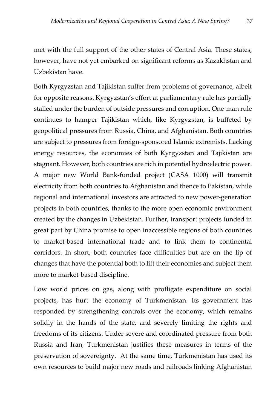met with the full support of the other states of Central Asia. These states, however, have not yet embarked on significant reforms as Kazakhstan and Uzbekistan have.

Both Kyrgyzstan and Tajikistan suffer from problems of governance, albeit for opposite reasons. Kyrgyzstan's effort at parliamentary rule has partially stalled under the burden of outside pressures and corruption. One-man rule continues to hamper Tajikistan which, like Kyrgyzstan, is buffeted by geopolitical pressures from Russia, China, and Afghanistan. Both countries are subject to pressures from foreign-sponsored Islamic extremists. Lacking energy resources, the economies of both Kyrgyzstan and Tajikistan are stagnant. However, both countries are rich in potential hydroelectric power. A major new World Bank-funded project (CASA 1000) will transmit electricity from both countries to Afghanistan and thence to Pakistan, while regional and international investors are attracted to new power-generation projects in both countries, thanks to the more open economic environment created by the changes in Uzbekistan. Further, transport projects funded in great part by China promise to open inaccessible regions of both countries to market-based international trade and to link them to continental corridors. In short, both countries face difficulties but are on the lip of changes that have the potential both to lift their economies and subject them more to market-based discipline.

Low world prices on gas, along with profligate expenditure on social projects, has hurt the economy of Turkmenistan. Its government has responded by strengthening controls over the economy, which remains solidly in the hands of the state, and severely limiting the rights and freedoms of its citizens. Under severe and coordinated pressure from both Russia and Iran, Turkmenistan justifies these measures in terms of the preservation of sovereignty. At the same time, Turkmenistan has used its own resources to build major new roads and railroads linking Afghanistan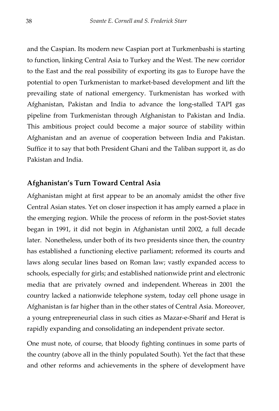and the Caspian. Its modern new Caspian port at Turkmenbashi is starting to function, linking Central Asia to Turkey and the West. The new corridor to the East and the real possibility of exporting its gas to Europe have the potential to open Turkmenistan to market-based development and lift the prevailing state of national emergency. Turkmenistan has worked with Afghanistan, Pakistan and India to advance the long-stalled TAPI gas pipeline from Turkmenistan through Afghanistan to Pakistan and India. This ambitious project could become a major source of stability within Afghanistan and an avenue of cooperation between India and Pakistan. Suffice it to say that both President Ghani and the Taliban support it, as do Pakistan and India.

#### <span id="page-39-0"></span>**Afghanistan's Turn Toward Central Asia**

Afghanistan might at first appear to be an anomaly amidst the other five Central Asian states. Yet on closer inspection it has amply earned a place in the emerging region. While the process of reform in the post-Soviet states began in 1991, it did not begin in Afghanistan until 2002, a full decade later. Nonetheless, under both of its two presidents since then, the country has established a functioning elective parliament; reformed its courts and laws along secular lines based on Roman law; vastly expanded access to schools, especially for girls; and established nationwide print and electronic media that are privately owned and independent. Whereas in 2001 the country lacked a nationwide telephone system, today cell phone usage in Afghanistan is far higher than in the other states of Central Asia. Moreover, a young entrepreneurial class in such cities as Mazar-e-Sharif and Herat is rapidly expanding and consolidating an independent private sector.

One must note, of course, that bloody fighting continues in some parts of the country (above all in the thinly populated South). Yet the fact that these and other reforms and achievements in the sphere of development have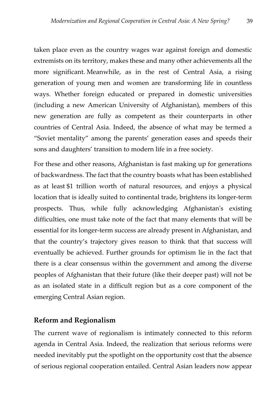taken place even as the country wages war against foreign and domestic extremists on its territory, makes these and many other achievements all the more significant. Meanwhile, as in the rest of Central Asia, a rising generation of young men and women are transforming life in countless ways. Whether foreign educated or prepared in domestic universities (including a new American University of Afghanistan), members of this new generation are fully as competent as their counterparts in other countries of Central Asia. Indeed, the absence of what may be termed a "Soviet mentality" among the parents' generation eases and speeds their sons and daughters' transition to modern life in a free society.

For these and other reasons, Afghanistan is fast making up for generations of backwardness. The fact that the country boasts what has been established as at least \$1 trillion worth of natural resources, and enjoys a physical location that is ideally suited to continental trade, brightens its longer-term prospects. Thus, while fully acknowledging Afghanistan's existing difficulties, one must take note of the fact that many elements that will be essential for its longer-term success are already present in Afghanistan, and that the country's trajectory gives reason to think that that success will eventually be achieved. Further grounds for optimism lie in the fact that there is a clear consensus within the government and among the diverse peoples of Afghanistan that their future (like their deeper past) will not be as an isolated state in a difficult region but as a core component of the emerging Central Asian region.

#### <span id="page-40-0"></span>**Reform and Regionalism**

The current wave of regionalism is intimately connected to this reform agenda in Central Asia. Indeed, the realization that serious reforms were needed inevitably put the spotlight on the opportunity cost that the absence of serious regional cooperation entailed. Central Asian leaders now appear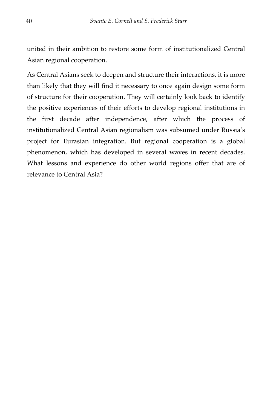united in their ambition to restore some form of institutionalized Central Asian regional cooperation.

As Central Asians seek to deepen and structure their interactions, it is more than likely that they will find it necessary to once again design some form of structure for their cooperation. They will certainly look back to identify the positive experiences of their efforts to develop regional institutions in the first decade after independence, after which the process of institutionalized Central Asian regionalism was subsumed under Russia's project for Eurasian integration. But regional cooperation is a global phenomenon, which has developed in several waves in recent decades. What lessons and experience do other world regions offer that are of relevance to Central Asia?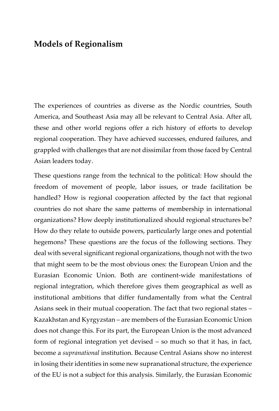## <span id="page-42-0"></span>**Models of Regionalism**

The experiences of countries as diverse as the Nordic countries, South America, and Southeast Asia may all be relevant to Central Asia. After all, these and other world regions offer a rich history of efforts to develop regional cooperation. They have achieved successes, endured failures, and grappled with challenges that are not dissimilar from those faced by Central Asian leaders today.

These questions range from the technical to the political: How should the freedom of movement of people, labor issues, or trade facilitation be handled? How is regional cooperation affected by the fact that regional countries do not share the same patterns of membership in international organizations? How deeply institutionalized should regional structures be? How do they relate to outside powers, particularly large ones and potential hegemons? These questions are the focus of the following sections. They deal with several significant regional organizations, though not with the two that might seem to be the most obvious ones: the European Union and the Eurasian Economic Union. Both are continent-wide manifestations of regional integration, which therefore gives them geographical as well as institutional ambitions that differ fundamentally from what the Central Asians seek in their mutual cooperation. The fact that two regional states – Kazakhstan and Kyrgyzstan – are members of the Eurasian Economic Union does not change this. For its part, the European Union is the most advanced form of regional integration yet devised – so much so that it has, in fact, become a *supranational* institution. Because Central Asians show no interest in losing their identities in some new supranational structure, the experience of the EU is not a subject for this analysis. Similarly, the Eurasian Economic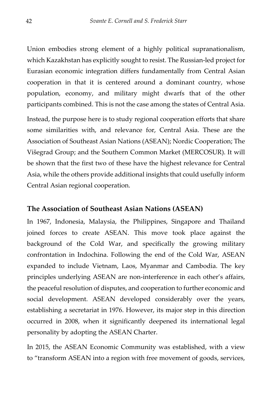Union embodies strong element of a highly political supranationalism, which Kazakhstan has explicitly sought to resist. The Russian-led project for Eurasian economic integration differs fundamentally from Central Asian cooperation in that it is centered around a dominant country, whose population, economy, and military might dwarfs that of the other participants combined. This is not the case among the states of Central Asia.

Instead, the purpose here is to study regional cooperation efforts that share some similarities with, and relevance for, Central Asia. These are the Association of Southeast Asian Nations (ASEAN); Nordic Cooperation; The Višegrad Group; and the Southern Common Market (MERCOSUR). It will be shown that the first two of these have the highest relevance for Central Asia, while the others provide additional insights that could usefully inform Central Asian regional cooperation.

#### <span id="page-43-0"></span>**The Association of Southeast Asian Nations (ASEAN)**

In 1967, Indonesia, Malaysia, the Philippines, Singapore and Thailand joined forces to create ASEAN. This move took place against the background of the Cold War, and specifically the growing military confrontation in Indochina. Following the end of the Cold War, ASEAN expanded to include Vietnam, Laos, Myanmar and Cambodia. The key principles underlying ASEAN are non-interference in each other's affairs, the peaceful resolution of disputes, and cooperation to further economic and social development. ASEAN developed considerably over the years, establishing a secretariat in 1976. However, its major step in this direction occurred in 2008, when it significantly deepened its international legal personality by adopting the ASEAN Charter.

In 2015, the ASEAN Economic Community was established, with a view to "transform ASEAN into a region with free movement of goods, services,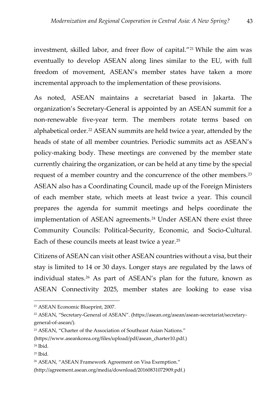investment, skilled labor, and freer flow of capital."[21](#page-44-0) While the aim was eventually to develop ASEAN along lines similar to the EU, with full freedom of movement, ASEAN's member states have taken a more incremental approach to the implementation of these provisions.

As noted, ASEAN maintains a secretariat based in Jakarta. The organization's Secretary-General is appointed by an ASEAN summit for a non-renewable five-year term. The members rotate terms based on alphabetical order.<sup>[22](#page-44-1)</sup> ASEAN summits are held twice a year, attended by the heads of state of all member countries. Periodic summits act as ASEAN's policy-making body. These meetings are convened by the member state currently chairing the organization, or can be held at any time by the special request of a member country and the concurrence of the other members.[23](#page-44-2) ASEAN also has a Coordinating Council, made up of the Foreign Ministers of each member state, which meets at least twice a year. This council prepares the agenda for summit meetings and helps coordinate the implementation of ASEAN agreements.<sup>[24](#page-44-3)</sup> Under ASEAN there exist three Community Councils: Political-Security, Economic, and Socio-Cultural. Each of these councils meets at least twice a year.[25](#page-44-4)

Citizens of ASEAN can visit other ASEAN countries without a visa, but their stay is limited to 14 or 30 days. Longer stays are regulated by the laws of individual states.<sup>[26](#page-44-5)</sup> As part of ASEAN's plan for the future, known as ASEAN Connectivity 2025, member states are looking to ease visa

 $\overline{a}$ 

<span id="page-44-0"></span><sup>21</sup> ASEAN Economic Blueprint, 2007.

<span id="page-44-1"></span><sup>22</sup> ASEAN, "Secretary-General of ASEAN". (https://asean.org/asean/asean-secretariat/secretarygeneral-of-asean/)*.*

<span id="page-44-2"></span><sup>23</sup> ASEAN, "Charter of the Association of Southeast Asian Nations."

<sup>(</sup>https://www.aseankorea.org/files/upload/pdf/asean\_charter10.pdf.)

<span id="page-44-3"></span><sup>24</sup> Ibid.

<span id="page-44-4"></span> $25$  Ibid.

<span id="page-44-5"></span><sup>26</sup> ASEAN, "ASEAN Framework Agreement on Visa Exemption."

<sup>(</sup>http://agreement.asean.org/media/download/20160831072909.pdf.)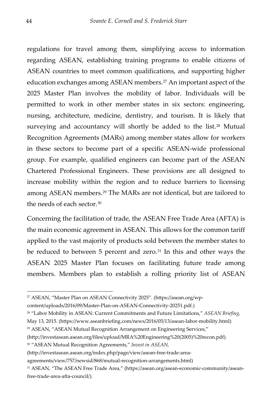regulations for travel among them, simplifying access to information regarding ASEAN, establishing training programs to enable citizens of ASEAN countries to meet common qualifications, and supporting higher education exchanges among ASEAN members.<sup>[27](#page-45-0)</sup> An important aspect of the 2025 Master Plan involves the mobility of labor. Individuals will be permitted to work in other member states in six sectors: engineering, nursing, architecture, medicine, dentistry, and tourism. It is likely that surveying and accountancy will shortly be added to the list.<sup>[28](#page-45-1)</sup> Mutual Recognition Agreements (MARs) among member states allow for workers in these sectors to become part of a specific ASEAN-wide professional group. For example, qualified engineers can become part of the ASEAN Chartered Professional Engineers. These provisions are all designed to increase mobility within the region and to reduce barriers to licensing among ASEAN members.[29](#page-45-2) The MARs are not identical, but are tailored to the needs of each sector.[30](#page-45-3)

Concerning the facilitation of trade, the ASEAN Free Trade Area (AFTA) is the main economic agreement in ASEAN. This allows for the common tariff applied to the vast majority of products sold between the member states to be reduced to between 5 percent and zero.<sup>[31](#page-45-4)</sup> In this and other ways the ASEAN 2025 Master Plan focuses on facilitating future trade among members. Members plan to establish a rolling priority list of ASEAN

content/uploads/2016/09/Master-Plan-on-ASEAN-Connectivity-20251.pdf.)

- <span id="page-45-2"></span><sup>29</sup> ASEAN, "ASEAN Mutual Recognition Arrangement on Engineering Services,"
- (http://investasean.asean.org/files/upload/MRA%20Engineering%20(2005)%20recon.pdf)*.*
- <span id="page-45-3"></span><sup>30</sup> "ASEAN Mutual Recognition Agreements," *Invest in ASEAN,*
- (http://investasean.asean.org/index.php/page/view/asean-free-trade-area-

-

<span id="page-45-0"></span><sup>27</sup> ASEAN, "Master Plan on ASEAN Connectivity 2025". (https://asean.org/wp-

<span id="page-45-1"></span><sup>28</sup> "Labor Mobility in ASEAN: Current Commitments and Future Limitations," *ASEAN Briefing,* May 13, 2015. (https://www.aseanbriefing.com/news/2016/05/13/asean-labor-mobility.html)

agreements/view/757/newsid/868/mutual-recognition-arrangements.html)

<span id="page-45-4"></span><sup>31</sup> ASEAN, "The ASEAN Free Trade Area," (https://asean.org/asean-economic-community/aseanfree-trade-area-afta-council/)*.*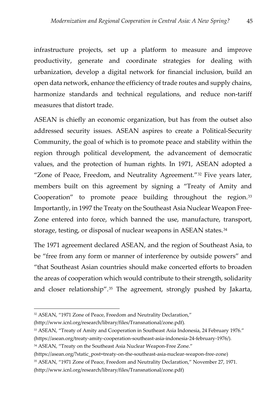infrastructure projects, set up a platform to measure and improve productivity, generate and coordinate strategies for dealing with urbanization, develop a digital network for financial inclusion, build an open data network, enhance the efficiency of trade routes and supply chains, harmonize standards and technical regulations, and reduce non-tariff measures that distort trade.

ASEAN is chiefly an economic organization, but has from the outset also addressed security issues. ASEAN aspires to create a Political-Security Community, the goal of which is to promote peace and stability within the region through political development, the advancement of democratic values, and the protection of human rights. In 1971, ASEAN adopted a "Zone of Peace, Freedom, and Neutrality Agreement."[32](#page-46-0) Five years later, members built on this agreement by signing a "Treaty of Amity and Cooperation" to promote peace building throughout the region.<sup>[33](#page-46-1)</sup> Importantly, in 1997 the Treaty on the Southeast Asia Nuclear Weapon Free-Zone entered into force, which banned the use, manufacture, transport, storage, testing, or disposal of nuclear weapons in ASEAN states.<sup>[34](#page-46-2)</sup>

The 1971 agreement declared ASEAN, and the region of Southeast Asia, to be "free from any form or manner of interference by outside powers" and "that Southeast Asian countries should make concerted efforts to broaden the areas of cooperation which would contribute to their strength, solidarity and closer relationship".[35](#page-46-3) The agreement, strongly pushed by Jakarta,

(http://www.icnl.org/research/library/files/Transnational/zone.pdf)*.*

j

<span id="page-46-0"></span><sup>32</sup> ASEAN, "1971 Zone of Peace, Freedom and Neutrality Declaration,"

<span id="page-46-1"></span><sup>33</sup> ASEAN, "Treaty of Amity and Cooperation in Southeast Asia Indonesia, 24 February 1976." (https://asean.org/treaty-amity-cooperation-southeast-asia-indonesia-24-february-1976/)*.*

<span id="page-46-2"></span><sup>&</sup>lt;sup>34</sup> ASEAN, "Treaty on the Southeast Asia Nuclear Weapon-Free Zone."

<sup>(</sup>https://asean.org/?static\_post=treaty-on-the-southeast-asia-nuclear-weapon-free-zone)

<span id="page-46-3"></span><sup>35</sup> ASEAN, "1971 Zone of Peace, Freedom and Neutrality Declaration," November 27, 1971.

<sup>(</sup>http://www.icnl.org/research/library/files/Transnational/zone.pdf)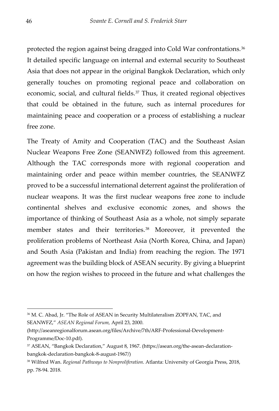protected the region against being dragged into Cold War confrontations.<sup>[36](#page-47-0)</sup> It detailed specific language on internal and external security to Southeast Asia that does not appear in the original Bangkok Declaration, which only generally touches on promoting regional peace and collaboration on economic, social, and cultural fields.[37](#page-47-1) Thus, it created regional objectives that could be obtained in the future, such as internal procedures for maintaining peace and cooperation or a process of establishing a nuclear free zone.

The Treaty of Amity and Cooperation (TAC) and the Southeast Asian Nuclear Weapons Free Zone (SEANWFZ) followed from this agreement. Although the TAC corresponds more with regional cooperation and maintaining order and peace within member countries, the SEANWFZ proved to be a successful international deterrent against the proliferation of nuclear weapons. It was the first nuclear weapons free zone to include continental shelves and exclusive economic zones, and shows the importance of thinking of Southeast Asia as a whole, not simply separate member states and their territories.<sup>[38](#page-47-2)</sup> Moreover, it prevented the proliferation problems of Northeast Asia (North Korea, China, and Japan) and South Asia (Pakistan and India) from reaching the region. The 1971 agreement was the building block of ASEAN security. By giving a blueprint on how the region wishes to proceed in the future and what challenges the

-

<span id="page-47-0"></span><sup>36</sup> M. C. Abad, Jr. "The Role of ASEAN in Security Multilateralism ZOPFAN, TAC, and SEANWFZ," *ASEAN Regional Forum,* April 23, 2000.

<sup>(</sup>http://aseanregionalforum.asean.org/files/Archive/7th/ARF-Professional-Development-Programme/Doc-10.pdf).

<span id="page-47-1"></span><sup>37</sup> ASEAN, "Bangkok Declaration," August 8, 1967. (https://asean.org/the-asean-declarationbangkok-declaration-bangkok-8-august-1967/)

<span id="page-47-2"></span><sup>38</sup> Wilfred Wan. *Regional Pathways to Nonproliferation*. Atlanta: University of Georgia Press, 2018, pp. 78-94. 2018.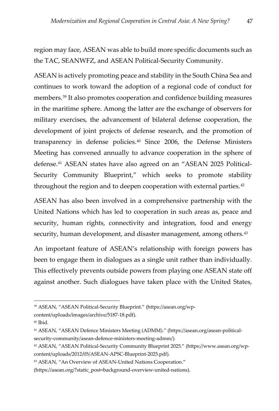region may face, ASEAN was able to build more specific documents such as the TAC, SEANWFZ, and ASEAN Political-Security Community.

ASEAN is actively promoting peace and stability in the South China Sea and continues to work toward the adoption of a regional code of conduct for members.[39](#page-48-0) It also promotes cooperation and confidence building measures in the maritime sphere. Among the latter are the exchange of observers for military exercises, the advancement of bilateral defense cooperation, the development of joint projects of defense research, and the promotion of transparency in defense policies.[40](#page-48-1) Since 2006, the Defense Ministers Meeting has convened annually to advance cooperation in the sphere of defense.[41](#page-48-2) ASEAN states have also agreed on an "ASEAN 2025 Political-Security Community Blueprint," which seeks to promote stability throughout the region and to deepen cooperation with external parties.<sup>[42](#page-48-3)</sup>

ASEAN has also been involved in a comprehensive partnership with the United Nations which has led to cooperation in such areas as, peace and security, human rights, connectivity and integration, food and energy security, human development, and disaster management, among others.<sup>[43](#page-48-4)</sup>

An important feature of ASEAN's relationship with foreign powers has been to engage them in dialogues as a single unit rather than individually. This effectively prevents outside powers from playing one ASEAN state off against another. Such dialogues have taken place with the United States,

 $\overline{a}$ 

<span id="page-48-0"></span><sup>39</sup> ASEAN, "ASEAN Political-Security Blueprint." (https://asean.org/wp-

content/uploads/images/archive/5187-18.pdf)*.*

<span id="page-48-1"></span> $40$  Ibid.

<span id="page-48-2"></span><sup>41</sup> ASEAN, "ASEAN Defence Ministers Meeting (ADMM)." (https://asean.org/asean-politicalsecurity-community/asean-defence-ministers-meeting-admm/)*.*

<span id="page-48-3"></span><sup>42</sup> ASEAN, "ASEAN Political-Security Community Blueprint 2025." (https://www.asean.org/wpcontent/uploads/2012/05/ASEAN-APSC-Blueprint-2025.pdf)*.*

<span id="page-48-4"></span><sup>43</sup> ASEAN, "An Overview of ASEAN-United Nations Cooperation."

<sup>(</sup>https://asean.org/?static\_post=background-overview-united-nations)*.*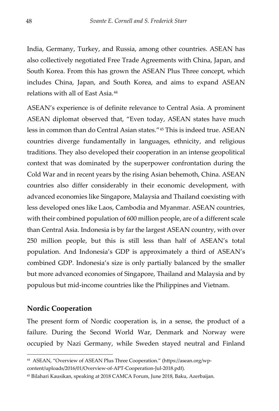India, Germany, Turkey, and Russia, among other countries. ASEAN has also collectively negotiated Free Trade Agreements with China, Japan, and South Korea. From this has grown the ASEAN Plus Three concept, which includes China, Japan, and South Korea, and aims to expand ASEAN relations with all of East Asia.[44](#page-49-1)

ASEAN's experience is of definite relevance to Central Asia. A prominent ASEAN diplomat observed that, "Even today, ASEAN states have much less in common than do Central Asian states."[45](#page-49-2) This is indeed true. ASEAN countries diverge fundamentally in languages, ethnicity, and religious traditions. They also developed their cooperation in an intense geopolitical context that was dominated by the superpower confrontation during the Cold War and in recent years by the rising Asian behemoth, China. ASEAN countries also differ considerably in their economic development, with advanced economies like Singapore, Malaysia and Thailand coexisting with less developed ones like Laos, Cambodia and Myanmar. ASEAN countries, with their combined population of 600 million people, are of a different scale than Central Asia. Indonesia is by far the largest ASEAN country, with over 250 million people, but this is still less than half of ASEAN's total population. And Indonesia's GDP is approximately a third of ASEAN's combined GDP. Indonesia's size is only partially balanced by the smaller but more advanced economies of Singapore, Thailand and Malaysia and by populous but mid-income countries like the Philippines and Vietnam.

#### <span id="page-49-0"></span>**Nordic Cooperation**

-

The present form of Nordic cooperation is, in a sense, the product of a failure. During the Second World War, Denmark and Norway were occupied by Nazi Germany, while Sweden stayed neutral and Finland

content/uploads/2016/01/Overview-of-APT-Cooperation-Jul-2018.pdf)*.*

<span id="page-49-1"></span><sup>44</sup> ASEAN, "Overview of ASEAN Plus Three Cooperation." (https://asean.org/wp-

<span id="page-49-2"></span><sup>45</sup> Bilahari Kausikan, speaking at 2018 CAMCA Forum, June 2018, Baku, Azerbaijan.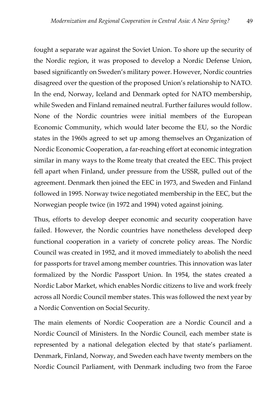fought a separate war against the Soviet Union. To shore up the security of the Nordic region, it was proposed to develop a Nordic Defense Union, based significantly on Sweden's military power. However, Nordic countries disagreed over the question of the proposed Union's relationship to NATO. In the end, Norway, Iceland and Denmark opted for NATO membership, while Sweden and Finland remained neutral. Further failures would follow. None of the Nordic countries were initial members of the European Economic Community, which would later become the EU, so the Nordic states in the 1960s agreed to set up among themselves an Organization of Nordic Economic Cooperation, a far-reaching effort at economic integration similar in many ways to the Rome treaty that created the EEC. This project fell apart when Finland, under pressure from the USSR, pulled out of the agreement. Denmark then joined the EEC in 1973, and Sweden and Finland followed in 1995. Norway twice negotiated membership in the EEC, but the Norwegian people twice (in 1972 and 1994) voted against joining.

Thus, efforts to develop deeper economic and security cooperation have failed. However, the Nordic countries have nonetheless developed deep functional cooperation in a variety of concrete policy areas. The Nordic Council was created in 1952, and it moved immediately to abolish the need for passports for travel among member countries. This innovation was later formalized by the Nordic Passport Union. In 1954, the states created a Nordic Labor Market, which enables Nordic citizens to live and work freely across all Nordic Council member states. This was followed the next year by a Nordic Convention on Social Security.

The main elements of Nordic Cooperation are a Nordic Council and a Nordic Council of Ministers. In the Nordic Council, each member state is represented by a national delegation elected by that state's parliament. Denmark, Finland, Norway, and Sweden each have twenty members on the Nordic Council Parliament, with Denmark including two from the Faroe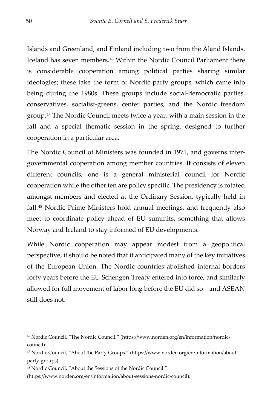Islands and Greenland, and Finland including two from the Åland Islands. Iceland has seven members.<sup>[46](#page-51-0)</sup> Within the Nordic Council Parliament there is considerable cooperation among political parties sharing similar ideologies; these take the form of Nordic party groups, which came into being during the 1980s. These groups include social-democratic parties, conservatives, socialist-greens, center parties, and the Nordic freedom group.[47](#page-51-1) The Nordic Council meets twice a year, with a main session in the fall and a special thematic session in the spring, designed to further cooperation in a particular area.

The Nordic Council of Ministers was founded in 1971, and governs intergovernmental cooperation among member countries. It consists of eleven different councils, one is a general ministerial council for Nordic cooperation while the other ten are policy specific. The presidency is rotated amongst members and elected at the Ordinary Session, typically held in fall.[48](#page-51-2) Nordic Prime Ministers hold annual meetings, and frequently also meet to coordinate policy ahead of EU summits, something that allows Norway and Iceland to stay informed of EU developments.

While Nordic cooperation may appear modest from a geopolitical perspective, it should be noted that it anticipated many of the key initiatives of the European Union. The Nordic countries abolished internal borders forty years before the EU Schengen Treaty entered into force, and similarly allowed for full movement of labor long before the EU did so – and ASEAN still does not.

-

<span id="page-51-0"></span><sup>46</sup> Nordic Council, "The Nordic Council." (https://www.norden.org/en/information/nordiccouncil)

<span id="page-51-1"></span><sup>47</sup> Nordic Council, "About the Party Groups." (https://www.norden.org/en/information/aboutparty-groups)*.*

<span id="page-51-2"></span><sup>48</sup> Nordic Council, "About the Sessions of the Nordic Council."

<sup>(</sup>https://www.norden.org/en/information/about-sessions-nordic-council).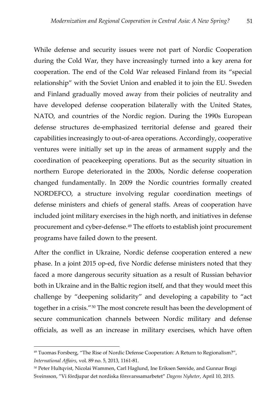While defense and security issues were not part of Nordic Cooperation during the Cold War, they have increasingly turned into a key arena for cooperation. The end of the Cold War released Finland from its "special relationship" with the Soviet Union and enabled it to join the EU. Sweden and Finland gradually moved away from their policies of neutrality and have developed defense cooperation bilaterally with the United States, NATO, and countries of the Nordic region. During the 1990s European defense structures de-emphasized territorial defense and geared their capabilities increasingly to out-of-area operations. Accordingly, cooperative ventures were initially set up in the areas of armament supply and the coordination of peacekeeping operations. But as the security situation in northern Europe deteriorated in the 2000s, Nordic defense cooperation changed fundamentally. In 2009 the Nordic countries formally created NORDEFCO, a structure involving regular coordination meetings of defense ministers and chiefs of general staffs. Areas of cooperation have included joint military exercises in the high north, and initiatives in defense procurement and cyber-defense[.49](#page-52-0) The efforts to establish joint procurement programs have failed down to the present.

After the conflict in Ukraine, Nordic defense cooperation entered a new phase. In a joint 2015 op-ed, five Nordic defense ministers noted that they faced a more dangerous security situation as a result of Russian behavior both in Ukraine and in the Baltic region itself, and that they would meet this challenge by "deepening solidarity" and developing a capability to "act together in a crisis."[50](#page-52-1) The most concrete result has been the development of secure communication channels between Nordic military and defense officials, as well as an increase in military exercises, which have often

 $\overline{a}$ 

<span id="page-52-0"></span><sup>49</sup> Tuomas Forsberg, "The Rise of Nordic Defense Cooperation: A Return to Regionalism?", *International Affairs*, vol. 89 no. 5, 2013, 1161-81.

<span id="page-52-1"></span><sup>&</sup>lt;sup>50</sup> Peter Hultqvist, Nicolai Wammen, Carl Haglund, Ine Eriksen Søreide, and Gunnar Bragi Sveinsson, "Vi fördjupar det nordiska försvarssamarbetet" *Dagens Nyheter*, April 10, 2015.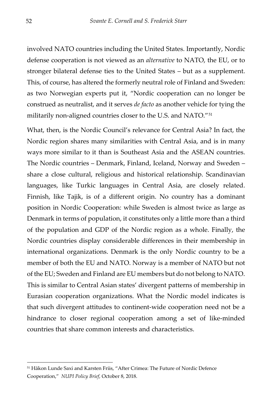involved NATO countries including the United States. Importantly, Nordic defense cooperation is not viewed as an *alternative* to NATO, the EU, or to stronger bilateral defense ties to the United States – but as a supplement. This, of course, has altered the formerly neutral role of Finland and Sweden: as two Norwegian experts put it, "Nordic cooperation can no longer be construed as neutralist, and it serves *de facto* as another vehicle for tying the militarily non-aligned countries closer to the U.S. and NATO."[51](#page-53-0)

What, then, is the Nordic Council's relevance for Central Asia? In fact, the Nordic region shares many similarities with Central Asia, and is in many ways more similar to it than is Southeast Asia and the ASEAN countries. The Nordic countries – Denmark, Finland, Iceland, Norway and Sweden – share a close cultural, religious and historical relationship. Scandinavian languages, like Turkic languages in Central Asia, are closely related. Finnish, like Tajik, is of a different origin. No country has a dominant position in Nordic Cooperation: while Sweden is almost twice as large as Denmark in terms of population, it constitutes only a little more than a third of the population and GDP of the Nordic region as a whole. Finally, the Nordic countries display considerable differences in their membership in international organizations. Denmark is the only Nordic country to be a member of both the EU and NATO. Norway is a member of NATO but not of the EU; Sweden and Finland are EU members but do not belong to NATO. This is similar to Central Asian states' divergent patterns of membership in Eurasian cooperation organizations. What the Nordic model indicates is that such divergent attitudes to continent-wide cooperation need not be a hindrance to closer regional cooperation among a set of like-minded countries that share common interests and characteristics.

-

<span id="page-53-0"></span><sup>51</sup> Håkon Lunde Saxi and Karsten Friis, "After Crimea: The Future of Nordic Defence Cooperation," *NUPI Policy Brief*, October 8, 2018.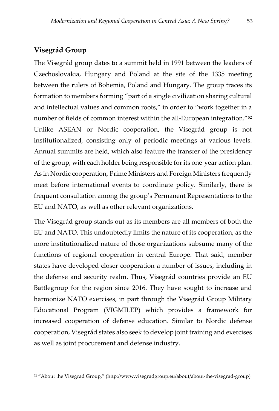### <span id="page-54-0"></span>**Visegrád Group**

 $\overline{a}$ 

The Visegrád group dates to a summit held in 1991 between the leaders of Czechoslovakia, Hungary and Poland at the site of the 1335 meeting between the rulers of Bohemia, Poland and Hungary. The group traces its formation to members forming "part of a single civilization sharing cultural and intellectual values and common roots," in order to "work together in a number of fields of common interest within the all-European integration."[52](#page-54-1) Unlike ASEAN or Nordic cooperation, the Visegrád group is not institutionalized, consisting only of periodic meetings at various levels. Annual summits are held, which also feature the transfer of the presidency of the group, with each holder being responsible for its one-year action plan. As in Nordic cooperation, Prime Ministers and Foreign Ministers frequently meet before international events to coordinate policy. Similarly, there is frequent consultation among the group's Permanent Representations to the EU and NATO, as well as other relevant organizations.

The Visegrád group stands out as its members are all members of both the EU and NATO. This undoubtedly limits the nature of its cooperation, as the more institutionalized nature of those organizations subsume many of the functions of regional cooperation in central Europe. That said, member states have developed closer cooperation a number of issues, including in the defense and security realm. Thus, Visegrád countries provide an EU Battlegroup for the region since 2016. They have sought to increase and harmonize NATO exercises, in part through the Visegrád Group Military Educational Program (VIGMILEP) which provides a framework for increased cooperation of defense education. Similar to Nordic defense cooperation, Visegrád states also seek to develop joint training and exercises as well as joint procurement and defense industry.

<span id="page-54-1"></span><sup>52</sup> "About the Visegrad Group," (http://www.visegradgroup.eu/about/about-the-visegrad-group)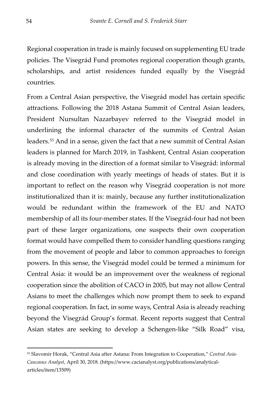Regional cooperation in trade is mainly focused on supplementing EU trade policies. The Visegrád Fund promotes regional cooperation though grants, scholarships, and artist residences funded equally by the Visegrád countries.

From a Central Asian perspective, the Visegrád model has certain specific attractions. Following the 2018 Astana Summit of Central Asian leaders, President Nursultan Nazarbayev referred to the Visegrád model in underlining the informal character of the summits of Central Asian leaders.[53](#page-55-0) And in a sense, given the fact that a new summit of Central Asian leaders is planned for March 2019, in Tashkent, Central Asian cooperation is already moving in the direction of a format similar to Visegrád: informal and close coordination with yearly meetings of heads of states. But it is important to reflect on the reason why Visegrád cooperation is not more institutionalized than it is: mainly, because any further institutionalization would be redundant within the framework of the EU and NATO membership of all its four-member states. If the Visegrád-four had not been part of these larger organizations, one suspects their own cooperation format would have compelled them to consider handling questions ranging from the movement of people and labor to common approaches to foreign powers. In this sense, the Visegrád model could be termed a minimum for Central Asia: it would be an improvement over the weakness of regional cooperation since the abolition of CACO in 2005, but may not allow Central Asians to meet the challenges which now prompt them to seek to expand regional cooperation. In fact, in some ways, Central Asia is already reaching beyond the Visegrád Group's format. Recent reports suggest that Central Asian states are seeking to develop a Schengen-like "Silk Road" visa,

-

<span id="page-55-0"></span><sup>53</sup> Slavomír Horak, "Central Asia after Astana: From Integration to Cooperation," *Central Asia-Caucasus Analyst*, April 30, 2018. (https://www.cacianalyst.org/publications/analyticalarticles/item/13509)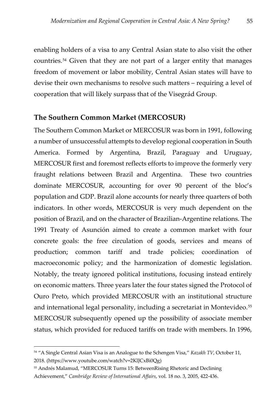enabling holders of a visa to any Central Asian state to also visit the other countries.[54](#page-56-1) Given that they are not part of a larger entity that manages freedom of movement or labor mobility, Central Asian states will have to devise their own mechanisms to resolve such matters – requiring a level of cooperation that will likely surpass that of the Visegrád Group.

#### <span id="page-56-0"></span>**The Southern Common Market (MERCOSUR)**

The Southern Common Market or MERCOSUR was born in 1991, following a number of unsuccessful attempts to develop regional cooperation in South America. Formed by Argentina, Brazil, Paraguay and Uruguay, MERCOSUR first and foremost reflects efforts to improve the formerly very fraught relations between Brazil and Argentina. These two countries dominate MERCOSUR, accounting for over 90 percent of the bloc's population and GDP. Brazil alone accounts for nearly three quarters of both indicators. In other words, MERCOSUR is very much dependent on the position of Brazil, and on the character of Brazilian-Argentine relations. The 1991 Treaty of Asunción aimed to create a common market with four concrete goals: the free circulation of goods, services and means of production; common tariff and trade policies; coordination of macroeconomic policy; and the harmonization of domestic legislation. Notably, the treaty ignored political institutions, focusing instead entirely on economic matters. Three years later the four states signed the Protocol of Ouro Preto, which provided MERCOSUR with an institutional structure and international legal personality, including a secretariat in Montevideo.<sup>[55](#page-56-2)</sup> MERCOSUR subsequently opened up the possibility of associate member status, which provided for reduced tariffs on trade with members. In 1996,

 $\overline{a}$ 

<span id="page-56-1"></span><sup>54</sup> "A Single Central Asian Visa is an Analogue to the Schengen Visa," *Kazakh TV*, October 11, 2018. (https://www.youtube.com/watch?v=2KlJCxBi0Qg)

<span id="page-56-2"></span><sup>55</sup> Andrés Malamud, "MERCOSUR Turns 15: BetweenRising Rhetoric and Declining Achievement," *Cambridge Review of International Affairs*, vol. 18 no. 3, 2005, 422-436.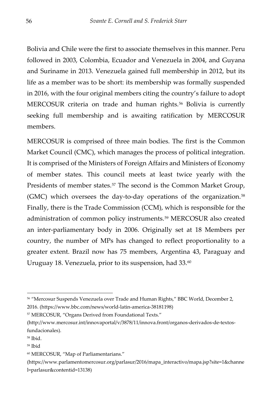Bolivia and Chile were the first to associate themselves in this manner. Peru followed in 2003, Colombia, Ecuador and Venezuela in 2004, and Guyana and Suriname in 2013. Venezuela gained full membership in 2012, but its life as a member was to be short: its membership was formally suspended in 2016, with the four original members citing the country's failure to adopt MERCOSUR criteria on trade and human rights.<sup>[56](#page-57-0)</sup> Bolivia is currently seeking full membership and is awaiting ratification by MERCOSUR members.

MERCOSUR is comprised of three main bodies. The first is the Common Market Council (CMC), which manages the process of political integration. It is comprised of the Ministers of Foreign Affairs and Ministers of Economy of member states. This council meets at least twice yearly with the Presidents of member states.<sup>[57](#page-57-1)</sup> The second is the Common Market Group, (GMC) which oversees the day-to-day operations of the organization.[58](#page-57-2) Finally, there is the Trade Commission (CCM), which is responsible for the administration of common policy instruments.[59](#page-57-3) MERCOSUR also created an inter-parliamentary body in 2006. Originally set at 18 Members per country, the number of MPs has changed to reflect proportionality to a greater extent. Brazil now has 75 members, Argentina 43, Paraguay and Uruguay 18. Venezuela, prior to its suspension, had 33.[60](#page-57-4)

<span id="page-57-1"></span><sup>57</sup> MERCOSUR, "Organs Derived from Foundational Texts."

-

<span id="page-57-0"></span><sup>56</sup> "Mercosur Suspends Venezuela over Trade and Human Rights," BBC World, December 2, 2016. (https://www.bbc.com/news/world-latin-america-38181198)

<sup>(</sup>http://www.mercosur.int/innovaportal/v/3878/11/innova.front/organos-derivados-de-textosfundacionales).

<span id="page-57-2"></span><sup>58</sup> Ibid.

<span id="page-57-3"></span><sup>59</sup> Ibid

<span id="page-57-4"></span><sup>60</sup> MERCOSUR, "Map of Parliamentarians."

<sup>(</sup>https://www.parlamentomercosur.org/parlasur/2016/mapa\_interactivo/mapa.jsp?site=1&channe l=parlasur&contentid=13138)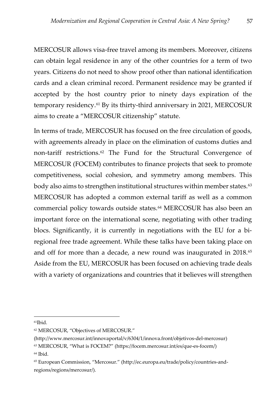MERCOSUR allows visa-free travel among its members. Moreover, citizens can obtain legal residence in any of the other countries for a term of two years. Citizens do not need to show proof other than national identification cards and a clean criminal record. Permanent residence may be granted if accepted by the host country prior to ninety days expiration of the temporary residency.[61](#page-58-0) By its thirty-third anniversary in 2021, MERCOSUR aims to create a "MERCOSUR citizenship" statute.

In terms of trade, MERCOSUR has focused on the free circulation of goods, with agreements already in place on the elimination of customs duties and non-tariff restrictions.[62](#page-58-1) The Fund for the Structural Convergence of MERCOSUR (FOCEM) contributes to finance projects that seek to promote competitiveness, social cohesion, and symmetry among members. This body also aims to strengthen institutional structures within member states.<sup>[63](#page-58-2)</sup> MERCOSUR has adopted a common external tariff as well as a common commercial policy towards outside states.[64](#page-58-3) MERCOSUR has also been an important force on the international scene, negotiating with other trading blocs. Significantly, it is currently in negotiations with the EU for a biregional free trade agreement. While these talks have been taking place on and off for more than a decade, a new round was inaugurated in 2018.<sup>[65](#page-58-4)</sup> Aside from the EU, MERCOSUR has been focused on achieving trade deals with a variety of organizations and countries that it believes will strengthen

j

(http://www.mercosur.int/innovaportal/v/6304/1/innova.front/objetivos-del-mercosur)

<span id="page-58-0"></span> $61$ Ibid.

<span id="page-58-1"></span><sup>62</sup> MERCOSUR, "Objectives of MERCOSUR."

<span id="page-58-2"></span><sup>63</sup> MERCOSUR, "What is FOCEM?" (https://focem.mercosur.int/es/que-es-focem/)

<span id="page-58-3"></span><sup>64</sup> Ibid.

<span id="page-58-4"></span><sup>65</sup> European Commission, "Mercosur." (http://ec.europa.eu/trade/policy/countries-andregions/regions/mercosur/).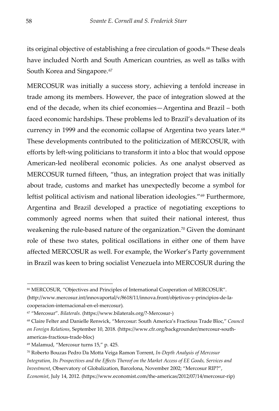its original objective of establishing a free circulation of goods.<sup>[66](#page-59-0)</sup> These deals have included North and South American countries, as well as talks with South Korea and Singapore.<sup>[67](#page-59-1)</sup>

MERCOSUR was initially a success story, achieving a tenfold increase in trade among its members. However, the pace of integration slowed at the end of the decade, when its chief economies—Argentina and Brazil – both faced economic hardships. These problems led to Brazil's devaluation of its currency in 1999 and the economic collapse of Argentina two years later.<sup>[68](#page-59-2)</sup> These developments contributed to the politicization of MERCOSUR, with efforts by left-wing politicians to transform it into a bloc that would oppose American-led neoliberal economic policies. As one analyst observed as MERCOSUR turned fifteen, "thus, an integration project that was initially about trade, customs and market has unexpectedly become a symbol for leftist political activism and national liberation ideologies."[69](#page-59-3) Furthermore, Argentina and Brazil developed a practice of negotiating exceptions to commonly agreed norms when that suited their national interest, thus weakening the rule-based nature of the organization.<sup>[70](#page-59-4)</sup> Given the dominant role of these two states, political oscillations in either one of them have affected MERCOSUR as well. For example, the Worker's Party government in Brazil was keen to bring socialist Venezuela into MERCOSUR during the

-

<span id="page-59-0"></span><sup>66</sup> MERCOSUR, "Objectives and Principles of International Cooperation of MERCOSUR". (http://www.mercosur.int/innovaportal/v/8618/11/innova.front/objetivos-y-principios-de-lacooperacion-internacional-en-el-mercosur)*.*

<span id="page-59-1"></span><sup>67</sup> "Mercosur". *Bilaterals.* (https://www.bilaterals.org/?-Mercosur-)

<span id="page-59-2"></span><sup>68</sup> Claire Felter and Danielle Renwick, "Mercosur: South America's Fractious Trade Bloc," *Council on Foreign Relations*, September 10, 2018. (https://www.cfr.org/backgrounder/mercosur-southamericas-fractious-trade-bloc)

<span id="page-59-3"></span><sup>69</sup> Malamud, "Mercosur turns 15," p. 425.

<span id="page-59-4"></span><sup>70</sup> Roberto Bouzas Pedro Da Motta Veiga Ramon Torrent, *In-Depth Analysis of Mercosur Integration, Its Prospectives and the Effects Thereof on the Market Access of EE Goods, Services and Investment*, Observatory of Globalization, Barcelona, November 2002; "Mercosur RIP?", *Economist*, July 14, 2012. (https://www.economist.com/the-americas/2012/07/14/mercosur-rip)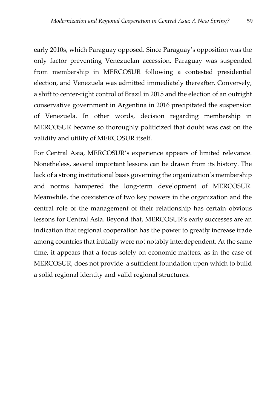early 2010s, which Paraguay opposed. Since Paraguay's opposition was the only factor preventing Venezuelan accession, Paraguay was suspended from membership in MERCOSUR following a contested presidential election, and Venezuela was admitted immediately thereafter. Conversely, a shift to center-right control of Brazil in 2015 and the election of an outright conservative government in Argentina in 2016 precipitated the suspension of Venezuela. In other words, decision regarding membership in MERCOSUR became so thoroughly politicized that doubt was cast on the validity and utility of MERCOSUR itself.

For Central Asia, MERCOSUR's experience appears of limited relevance. Nonetheless, several important lessons can be drawn from its history. The lack of a strong institutional basis governing the organization's membership and norms hampered the long-term development of MERCOSUR. Meanwhile, the coexistence of two key powers in the organization and the central role of the management of their relationship has certain obvious lessons for Central Asia. Beyond that, MERCOSUR's early successes are an indication that regional cooperation has the power to greatly increase trade among countries that initially were not notably interdependent. At the same time, it appears that a focus solely on economic matters, as in the case of MERCOSUR, does not provide a sufficient foundation upon which to build a solid regional identity and valid regional structures.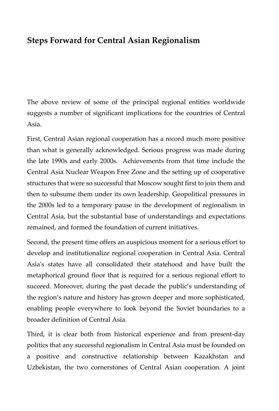## <span id="page-61-0"></span>**Steps Forward for Central Asian Regionalism**

The above review of some of the principal regional entities worldwide suggests a number of significant implications for the countries of Central Asia.

First, Central Asian regional cooperation has a record much more positive than what is generally acknowledged. Serious progress was made during the late 1990s and early 2000s. Achievements from that time include the Central Asia Nuclear Weapon Free Zone and the setting up of cooperative structures that were so successful that Moscow sought first to join them and then to subsume them under its own leadership. Geopolitical pressures in the 2000s led to a temporary pause in the development of regionalism in Central Asia, but the substantial base of understandings and expectations remained, and formed the foundation of current initiatives.

Second, the present time offers an auspicious moment for a serious effort to develop and institutionalize regional cooperation in Central Asia. Central Asia's states have all consolidated their statehood and have built the metaphorical ground floor that is required for a serious regional effort to succeed. Moreover, during the past decade the public's understanding of the region's nature and history has grown deeper and more sophisticated, enabling people everywhere to look beyond the Soviet boundaries to a broader definition of Central Asia.

Third, it is clear both from historical experience and from present-day politics that any successful regionalism in Central Asia must be founded on a positive and constructive relationship between Kazakhstan and Uzbekistan, the two cornerstones of Central Asian cooperation. A joint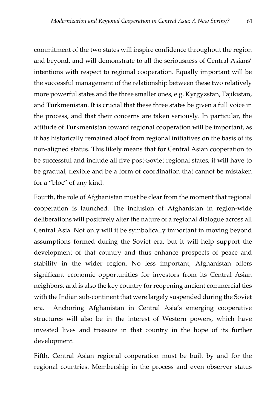commitment of the two states will inspire confidence throughout the region and beyond, and will demonstrate to all the seriousness of Central Asians' intentions with respect to regional cooperation. Equally important will be the successful management of the relationship between these two relatively more powerful states and the three smaller ones, e.g. Kyrgyzstan, Tajikistan, and Turkmenistan. It is crucial that these three states be given a full voice in the process, and that their concerns are taken seriously. In particular, the attitude of Turkmenistan toward regional cooperation will be important, as it has historically remained aloof from regional initiatives on the basis of its non-aligned status. This likely means that for Central Asian cooperation to be successful and include all five post-Soviet regional states, it will have to be gradual, flexible and be a form of coordination that cannot be mistaken for a "bloc" of any kind.

Fourth, the role of Afghanistan must be clear from the moment that regional cooperation is launched. The inclusion of Afghanistan in region-wide deliberations will positively alter the nature of a regional dialogue across all Central Asia. Not only will it be symbolically important in moving beyond assumptions formed during the Soviet era, but it will help support the development of that country and thus enhance prospects of peace and stability in the wider region. No less important, Afghanistan offers significant economic opportunities for investors from its Central Asian neighbors, and is also the key country for reopening ancient commercial ties with the Indian sub-continent that were largely suspended during the Soviet era. Anchoring Afghanistan in Central Asia's emerging cooperative structures will also be in the interest of Western powers, which have invested lives and treasure in that country in the hope of its further development.

Fifth, Central Asian regional cooperation must be built by and for the regional countries. Membership in the process and even observer status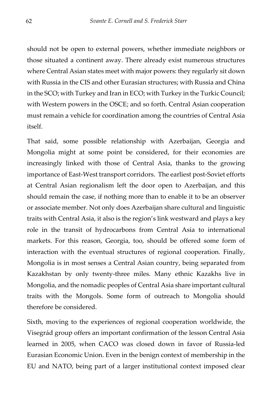should not be open to external powers, whether immediate neighbors or those situated a continent away. There already exist numerous structures where Central Asian states meet with major powers: they regularly sit down with Russia in the CIS and other Eurasian structures; with Russia and China in the SCO; with Turkey and Iran in ECO; with Turkey in the Turkic Council; with Western powers in the OSCE; and so forth. Central Asian cooperation must remain a vehicle for coordination among the countries of Central Asia itself.

That said, some possible relationship with Azerbaijan, Georgia and Mongolia might at some point be considered, for their economies are increasingly linked with those of Central Asia, thanks to the growing importance of East-West transport corridors. The earliest post-Soviet efforts at Central Asian regionalism left the door open to Azerbaijan, and this should remain the case, if nothing more than to enable it to be an observer or associate member. Not only does Azerbaijan share cultural and linguistic traits with Central Asia, it also is the region's link westward and plays a key role in the transit of hydrocarbons from Central Asia to international markets. For this reason, Georgia, too, should be offered some form of interaction with the eventual structures of regional cooperation. Finally, Mongolia is in most senses a Central Asian country, being separated from Kazakhstan by only twenty-three miles. Many ethnic Kazakhs live in Mongolia, and the nomadic peoples of Central Asia share important cultural traits with the Mongols. Some form of outreach to Mongolia should therefore be considered.

Sixth, moving to the experiences of regional cooperation worldwide, the Visegrád group offers an important confirmation of the lesson Central Asia learned in 2005, when CACO was closed down in favor of Russia-led Eurasian Economic Union. Even in the benign context of membership in the EU and NATO, being part of a larger institutional context imposed clear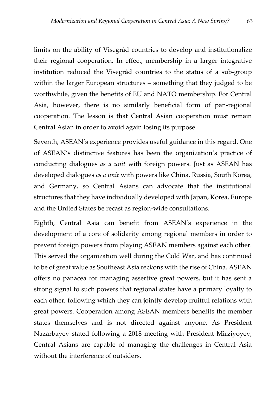limits on the ability of Visegrád countries to develop and institutionalize their regional cooperation. In effect, membership in a larger integrative institution reduced the Visegrád countries to the status of a sub-group within the larger European structures – something that they judged to be worthwhile, given the benefits of EU and NATO membership. For Central Asia, however, there is no similarly beneficial form of pan-regional cooperation. The lesson is that Central Asian cooperation must remain Central Asian in order to avoid again losing its purpose.

Seventh, ASEAN's experience provides useful guidance in this regard. One of ASEAN's distinctive features has been the organization's practice of conducting dialogues *as a unit* with foreign powers. Just as ASEAN has developed dialogues *as a unit* with powers like China, Russia, South Korea, and Germany, so Central Asians can advocate that the institutional structures that they have individually developed with Japan, Korea, Europe and the United States be recast as region-wide consultations.

Eighth, Central Asia can benefit from ASEAN's experience in the development of a core of solidarity among regional members in order to prevent foreign powers from playing ASEAN members against each other. This served the organization well during the Cold War, and has continued to be of great value as Southeast Asia reckons with the rise of China. ASEAN offers no panacea for managing assertive great powers, but it has sent a strong signal to such powers that regional states have a primary loyalty to each other, following which they can jointly develop fruitful relations with great powers. Cooperation among ASEAN members benefits the member states themselves and is not directed against anyone. As President Nazarbayev stated following a 2018 meeting with President Mirziyoyev, Central Asians are capable of managing the challenges in Central Asia without the interference of outsiders.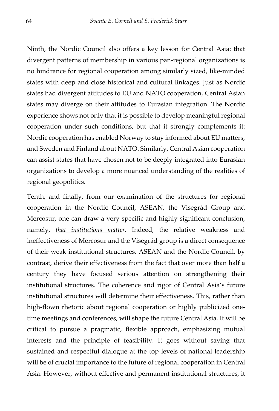Ninth, the Nordic Council also offers a key lesson for Central Asia: that divergent patterns of membership in various pan-regional organizations is no hindrance for regional cooperation among similarly sized, like-minded states with deep and close historical and cultural linkages. Just as Nordic states had divergent attitudes to EU and NATO cooperation, Central Asian states may diverge on their attitudes to Eurasian integration. The Nordic experience shows not only that it is possible to develop meaningful regional cooperation under such conditions, but that it strongly complements it: Nordic cooperation has enabled Norway to stay informed about EU matters, and Sweden and Finland about NATO. Similarly, Central Asian cooperation can assist states that have chosen not to be deeply integrated into Eurasian organizations to develop a more nuanced understanding of the realities of regional geopolitics.

Tenth, and finally, from our examination of the structures for regional cooperation in the Nordic Council, ASEAN, the Visegrád Group and Mercosur, one can draw a very specific and highly significant conclusion, namely, *that institutions matter.* Indeed, the relative weakness and ineffectiveness of Mercosur and the Visegrád group is a direct consequence of their weak institutional structures. ASEAN and the Nordic Council, by contrast, derive their effectiveness from the fact that over more than half a century they have focused serious attention on strengthening their institutional structures. The coherence and rigor of Central Asia's future institutional structures will determine their effectiveness. This, rather than high-flown rhetoric about regional cooperation or highly publicized onetime meetings and conferences, will shape the future Central Asia. It will be critical to pursue a pragmatic, flexible approach, emphasizing mutual interests and the principle of feasibility. It goes without saying that sustained and respectful dialogue at the top levels of national leadership will be of crucial importance to the future of regional cooperation in Central Asia. However, without effective and permanent institutional structures, it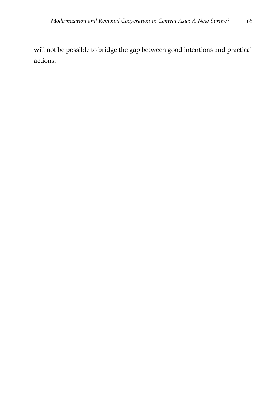will not be possible to bridge the gap between good intentions and practical actions.